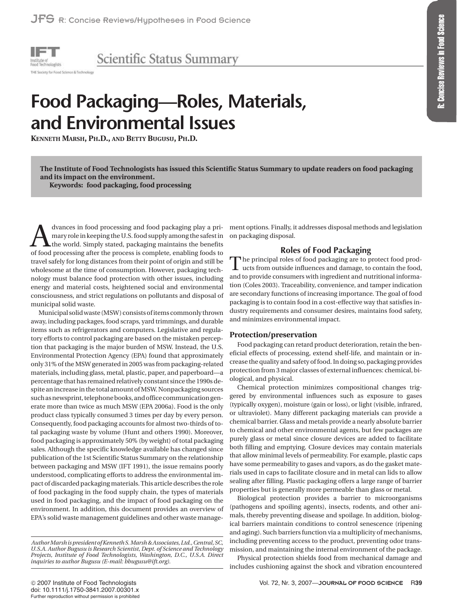

Scientific Status Summary

# **Food Packaging—Roles, Materials, and Environmental Issues**

**KENNETH MARSH, PH.D., AND BETTY BUGUSU, PH.D.**

**The Institute of Food Technologists has issued this Scientific Status Summary to update readers on food packaging and its impact on the environment.**

**Keywords: food packaging, food processing**

dvances in food processing and food packaging play a primary role in keeping the U.S. food supply among the safest in the world. Simply stated, packaging maintains the benefits of food processing after the process is complete, enabling foods to travel safely for long distances from their point of origin and still be wholesome at the time of consumption. However, packaging technology must balance food protection with other issues, including energy and material costs, heightened social and environmental consciousness, and strict regulations on pollutants and disposal of municipal solid waste.

Municipal solid waste (MSW) consists of items commonly thrown away, including packages, food scraps, yard trimmings, and durable items such as refrigerators and computers. Legislative and regulatory efforts to control packaging are based on the mistaken perception that packaging is the major burden of MSW. Instead, the U.S. Environmental Protection Agency (EPA) found that approximately only 31% of the MSW generated in 2005 was from packaging-related materials, including glass, metal, plastic, paper, and paperboard—a percentage that has remained relatively constant since the 1990s despite an increase in the total amount of MSW. Nonpackaging sources such as newsprint, telephone books, and office communication generate more than twice as much MSW (EPA 2006a). Food is the only product class typically consumed 3 times per day by every person. Consequently, food packaging accounts for almost two-thirds of total packaging waste by volume (Hunt and others 1990). Moreover, food packaging is approximately 50% (by weight) of total packaging sales. Although the specific knowledge available has changed since publication of the 1st Scientific Status Summary on the relationship between packaging and MSW (IFT 1991), the issue remains poorly understood, complicating efforts to address the environmental impact of discarded packaging materials. This article describes the role of food packaging in the food supply chain, the types of materials used in food packaging, and the impact of food packaging on the environment. In addition, this document provides an overview of EPA's solid waste management guidelines and other waste manage-

ment options. Finally, it addresses disposal methods and legislation on packaging disposal.

# **Roles of Food Packaging**

The principal roles of food packaging are to protect food products from outside influences and damage, to contain the food, and to provide consumers with ingredient and nutritional information (Coles 2003). Traceability, convenience, and tamper indication are secondary functions of increasing importance. The goal of food packaging is to contain food in a cost-effective way that satisfies industry requirements and consumer desires, maintains food safety, and minimizes environmental impact.

# **Protection/preservation**

Food packaging can retard product deterioration, retain the beneficial effects of processing, extend shelf-life, and maintain or increase the quality and safety of food. In doing so, packaging provides protection from 3 major classes of external influences: chemical, biological, and physical.

Chemical protection minimizes compositional changes triggered by environmental influences such as exposure to gases (typically oxygen), moisture (gain or loss), or light (visible, infrared, or ultraviolet). Many different packaging materials can provide a chemical barrier. Glass and metals provide a nearly absolute barrier to chemical and other environmental agents, but few packages are purely glass or metal since closure devices are added to facilitate both filling and emptying. Closure devices may contain materials that allow minimal levels of permeability. For example, plastic caps have some permeability to gases and vapors, as do the gasket materials used in caps to facilitate closure and in metal can lids to allow sealing after filling. Plastic packaging offers a large range of barrier properties but is generally more permeable than glass or metal.

Biological protection provides a barrier to microorganisms (pathogens and spoiling agents), insects, rodents, and other animals, thereby preventing disease and spoilage. In addition, biological barriers maintain conditions to control senescence (ripening and aging). Such barriers function via a multiplicity of mechanisms, including preventing access to the product, preventing odor transmission, and maintaining the internal environment of the package.

Physical protection shields food from mechanical damage and includes cushioning against the shock and vibration encountered

*Author Marsh is president of Kenneth S. Marsh & Associates, Ltd., Central, SC, U.S.A. Author Bugusu is Research Scientist, Dept. of Science and Technology Projects, Institute of Food Technologists, Washington, D.C., U.S.A. Direct inquiries to author Bugusu (E-mail: bbugusu@ift.org).*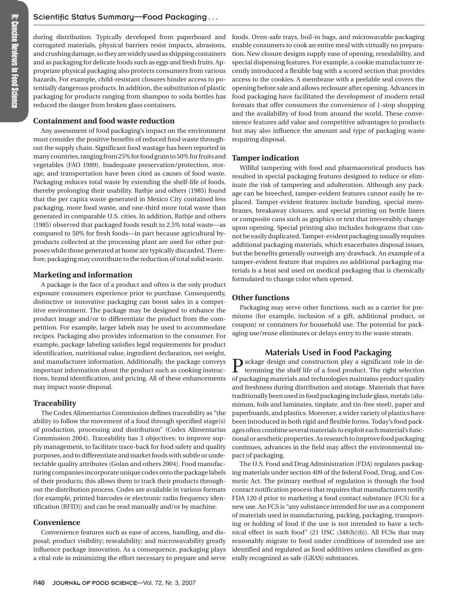during distribution. Typically developed from paperboard and corrugated materials, physical barriers resist impacts, abrasions, and crushing damage, so they are widely used as shipping containers and as packaging for delicate foods such as eggs and fresh fruits. Appropriate physical packaging also protects consumers from various hazards. For example, child-resistant closures hinder access to potentially dangerous products. In addition, the substitution of plastic packaging for products ranging from shampoo to soda bottles has reduced the danger from broken glass containers.

#### **Containment and food waste reduction**

Any assessment of food packaging's impact on the environment must consider the positive benefits of reduced food waste throughout the supply chain. Significant food wastage has been reported in many countries, ranging from 25% for food grain to 50% for fruits and vegetables (FAO 1989). Inadequate preservation/protection, storage, and transportation have been cited as causes of food waste. Packaging reduces total waste by extending the shelf-life of foods, thereby prolonging their usability. Rathje and others (1985) found that the per capita waste generated in Mexico City contained less packaging, more food waste, and one-third more total waste than generated in comparable U.S. cities. In addition, Rathje and others (1985) observed that packaged foods result in 2.5% total waste—as compared to 50% for fresh foods—in part because agricultural byproducts collected at the processing plant are used for other purposes while those generated at home are typically discarded. Therefore, packaging may contribute to the reduction of total solid waste.

## **Marketing and information**

A package is the face of a product and often is the only product exposure consumers experience prior to purchase. Consequently, distinctive or innovative packaging can boost sales in a competitive environment. The package may be designed to enhance the product image and/or to differentiate the product from the competition. For example, larger labels may be used to accommodate recipes. Packaging also provides information to the consumer. For example, package labeling satisfies legal requirements for product identification, nutritional value, ingredient declaration, net weight, and manufacturer information. Additionally, the package conveys important information about the product such as cooking instructions, brand identification, and pricing. All of these enhancements may impact waste disposal.

#### **Traceability**

The Codex Alimentarius Commission defines traceability as "the ability to follow the movement of a food through specified stage(s) of production, processing and distribution" (Codex Alimentarius Commission 2004). Traceability has 3 objectives: to improve supply management, to facilitate trace-back for food safety and quality purposes, and to differentiate and market foods with subtle or undetectable quality attributes (Golan and others 2004). Food manufacturing companies incorporate unique codes onto the package labels of their products; this allows them to track their products throughout the distribution process. Codes are available in various formats (for example, printed barcodes or electronic radio frequency identification [RFID]) and can be read manually and/or by machine.

#### **Convenience**

Convenience features such as ease of access, handling, and disposal; product visibility; resealability; and microwavability greatly influence package innovation. As a consequence, packaging plays a vital role in minimizing the effort necessary to prepare and serve

foods. Oven-safe trays, boil-in bags, and microwavable packaging enable consumers to cook an entire meal with virtually no preparation. New closure designs supply ease of opening, resealability, and special dispensing features. For example, a cookie manufacturer recently introduced a flexible bag with a scored section that provides access to the cookies. A membrane with a peelable seal covers the opening before sale and allows reclosure after opening. Advances in food packaging have facilitated the development of modern retail formats that offer consumers the convenience of 1-stop shopping and the availability of food from around the world. These convenience features add value and competitive advantages to products but may also influence the amount and type of packaging waste requiring disposal.

# **Tamper indication**

Willful tampering with food and pharmaceutical products has resulted in special packaging features designed to reduce or eliminate the risk of tampering and adulteration. Although any package can be breeched, tamper-evident features cannot easily be replaced. Tamper-evident features include banding, special membranes, breakaway closures, and special printing on bottle liners or composite cans such as graphics or text that irreversibly change upon opening. Special printing also includes holograms that cannot be easily duplicated. Tamper-evident packaging usually requires additional packaging materials, which exacerbates disposal issues, but the benefits generally outweigh any drawback. An example of a tamper-evident feature that requires no additional packaging materials is a heat seal used on medical packaging that is chemically formulated to change color when opened.

# **Other functions**

Packaging may serve other functions, such as a carrier for premiums (for example, inclusion of a gift, additional product, or coupon) or containers for household use. The potential for packaging use/reuse eliminates or delays entry to the waste stream.

# **Materials Used in Food Packaging**

Package design and construction play a significant role in de-termining the shelf life of a food product. The right selection of packaging materials and technologies maintains product quality and freshness during distribution and storage. Materials that have traditionally been used in food packaging include glass, metals (aluminum, foils and laminates, tinplate, and tin-free steel), paper and paperboards, and plastics. Moreover, a wider variety of plastics have been introduced in both rigid and flexible forms. Today's food packages often combine several materials to exploit each material's functional or aesthetic properties. As research to improve food packaging continues, advances in the field may affect the environmental impact of packaging.

The U.S. Food and Drug Administration (FDA) regulates packaging materials under section 409 of the federal Food, Drug, and Cosmetic Act. The primary method of regulation is through the food contact notification process that requires that manufacturers notify FDA 120 d prior to marketing a food contact substance (FCS) for a new use. An FCS is "any substance intended for use as a component of materials used in manufacturing, packing, packaging, transporting or holding of food if the use is not intended to have a technical effect in such food" (21 USC §348(h)(6)). All FCSs that may reasonably migrate to food under conditions of intended use are identified and regulated as food additives unless classified as generally recognized as safe (GRAS) substances.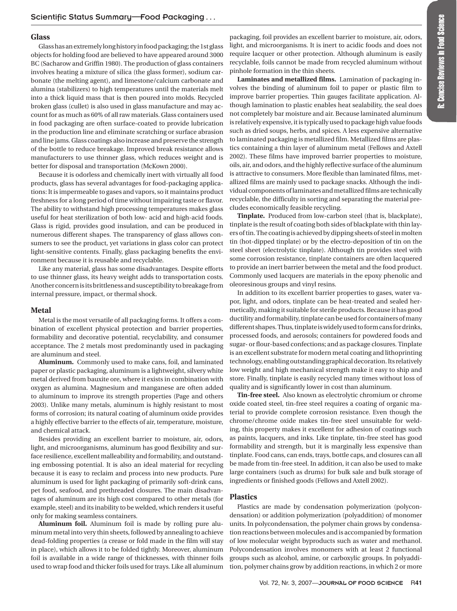#### **Glass**

Glass has an extremely long history in food packaging; the 1st glass objects for holding food are believed to have appeared around 3000 BC (Sacharow and Griffin 1980). The production of glass containers involves heating a mixture of silica (the glass former), sodium carbonate (the melting agent), and limestone/calcium carbonate and alumina (stabilizers) to high temperatures until the materials melt into a thick liquid mass that is then poured into molds. Recycled broken glass (cullet) is also used in glass manufacture and may account for as much as 60% of all raw materials. Glass containers used in food packaging are often surface-coated to provide lubrication in the production line and eliminate scratching or surface abrasion and line jams. Glass coatings also increase and preserve the strength of the bottle to reduce breakage. Improved break resistance allows manufacturers to use thinner glass, which reduces weight and is better for disposal and transportation (McKown 2000).

Because it is odorless and chemically inert with virtually all food products, glass has several advantages for food-packaging applications: It is impermeable to gases and vapors, so it maintains product freshness for a long period of time without impairing taste or flavor. The ability to withstand high processing temperatures makes glass useful for heat sterilization of both low- acid and high-acid foods. Glass is rigid, provides good insulation, and can be produced in numerous different shapes. The transparency of glass allows consumers to see the product, yet variations in glass color can protect light-sensitive contents. Finally, glass packaging benefits the environment because it is reusable and recyclable.

Like any material, glass has some disadvantages. Despite efforts to use thinner glass, its heavy weight adds to transportation costs. Another concern is its brittleness and susceptibility to breakage from internal pressure, impact, or thermal shock.

#### **Metal**

Metal is the most versatile of all packaging forms. It offers a combination of excellent physical protection and barrier properties, formability and decorative potential, recyclability, and consumer acceptance. The 2 metals most predominantly used in packaging are aluminum and steel.

**Aluminum.** Commonly used to make cans, foil, and laminated paper or plastic packaging, aluminum is a lightweight, silvery white metal derived from bauxite ore, where it exists in combination with oxygen as alumina. Magnesium and manganese are often added to aluminum to improve its strength properties (Page and others 2003). Unlike many metals, aluminum is highly resistant to most forms of corrosion; its natural coating of aluminum oxide provides a highly effective barrier to the effects of air, temperature, moisture, and chemical attack.

Besides providing an excellent barrier to moisture, air, odors, light, and microorganisms, aluminum has good flexibility and surface resilience, excellent malleability and formability, and outstanding embossing potential. It is also an ideal material for recycling because it is easy to reclaim and process into new products. Pure aluminum is used for light packaging of primarily soft-drink cans, pet food, seafood, and prethreaded closures. The main disadvantages of aluminum are its high cost compared to other metals (for example, steel) and its inability to be welded, which renders it useful only for making seamless containers.

**Aluminum foil.** Aluminum foil is made by rolling pure aluminum metal into very thin sheets, followed by annealing to achieve dead-folding properties (a crease or fold made in the film will stay in place), which allows it to be folded tightly. Moreover, aluminum foil is available in a wide range of thicknesses, with thinner foils used to wrap food and thicker foils used for trays. Like all aluminum

packaging, foil provides an excellent barrier to moisture, air, odors, light, and microorganisms. It is inert to acidic foods and does not require lacquer or other protection. Although aluminum is easily recyclable, foils cannot be made from recycled aluminum without pinhole formation in the thin sheets.

**Laminates and metallized films.** Lamination of packaging involves the binding of aluminum foil to paper or plastic film to improve barrier properties. Thin gauges facilitate application. Although lamination to plastic enables heat sealability, the seal does not completely bar moisture and air. Because laminated aluminum is relatively expensive, it is typically used to package high value foods such as dried soups, herbs, and spices. A less expensive alternative to laminated packaging is metallized film. Metallized films are plastics containing a thin layer of aluminum metal (Fellows and Axtell 2002). These films have improved barrier properties to moisture, oils, air, and odors, and the highly reflective surface of the aluminum is attractive to consumers. More flexible than laminated films, metallized films are mainly used to package snacks. Although the individual components of laminates and metallized films are technically recyclable, the difficulty in sorting and separating the material precludes economically feasible recycling.

**Tinplate.** Produced from low-carbon steel (that is, blackplate), tinplate is the result of coating both sides of blackplate with thin layers of tin. The coating is achieved by dipping sheets of steel in molten tin (hot-dipped tinplate) or by the electro-deposition of tin on the steel sheet (electrolytic tinplate). Although tin provides steel with some corrosion resistance, tinplate containers are often lacquered to provide an inert barrier between the metal and the food product. Commonly used lacquers are materials in the epoxy phenolic and oleoresinous groups and vinyl resins.

In addition to its excellent barrier properties to gases, water vapor, light, and odors, tinplate can be heat-treated and sealed hermetically, making it suitable for sterile products. Because it has good ductility and formability, tinplate can be used for containers of many different shapes. Thus, tinplate is widely used to form cans for drinks, processed foods, and aerosols; containers for powdered foods and sugar- or flour-based confections; and as package closures. Tinplate is an excellent substrate for modern metal coating and lithoprinting technology, enabling outstanding graphical decoration. Its relatively low weight and high mechanical strength make it easy to ship and store. Finally, tinplate is easily recycled many times without loss of quality and is significantly lower in cost than aluminum.

**Tin-free steel.** Also known as electrolytic chromium or chrome oxide coated steel, tin-free steel requires a coating of organic material to provide complete corrosion resistance. Even though the chrome/chrome oxide makes tin-free steel unsuitable for welding, this property makes it excellent for adhesion of coatings such as paints, lacquers, and inks. Like tinplate, tin-free steel has good formability and strength, but it is marginally less expensive than tinplate. Food cans, can ends, trays, bottle caps, and closures can all be made from tin-free steel. In addition, it can also be used to make large containers (such as drums) for bulk sale and bulk storage of ingredients or finished goods (Fellows and Axtell 2002).

#### **Plastics**

Plastics are made by condensation polymerization (polycondensation) or addition polymerization (polyaddition) of monomer units. In polycondensation, the polymer chain grows by condensation reactions between molecules and is accompanied by formation of low molecular weight byproducts such as water and methanol. Polycondensation involves monomers with at least 2 functional groups such as alcohol, amine, or carboxylic groups. In polyaddition, polymer chains grow by addition reactions, in which 2 or more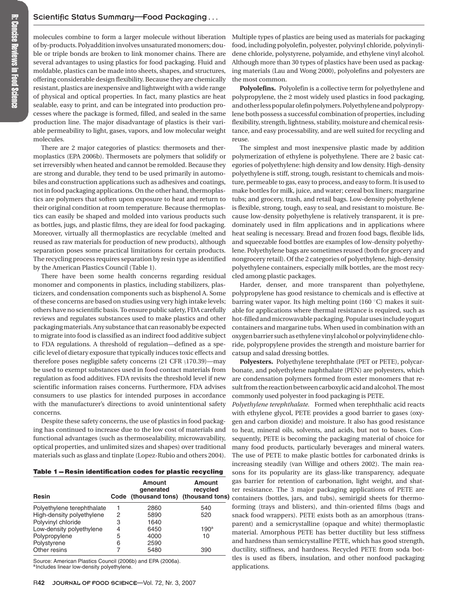molecules combine to form a larger molecule without liberation of by-products. Polyaddition involves unsaturated monomers; double or triple bonds are broken to link monomer chains. There are several advantages to using plastics for food packaging. Fluid and moldable, plastics can be made into sheets, shapes, and structures, offering considerable design flexibility. Because they are chemically resistant, plastics are inexpensive and lightweight with a wide range of physical and optical properties. In fact, many plastics are heat sealable, easy to print, and can be integrated into production processes where the package is formed, filled, and sealed in the same production line. The major disadvantage of plastics is their variable permeability to light, gases, vapors, and low molecular weight molecules.

There are 2 major categories of plastics: thermosets and thermoplastics (EPA 2006b). Thermosets are polymers that solidify or set irreversibly when heated and cannot be remolded. Because they are strong and durable, they tend to be used primarily in automobiles and construction applications such as adhesives and coatings, not in food packaging applications. On the other hand, thermoplastics are polymers that soften upon exposure to heat and return to their original condition at room temperature. Because thermoplastics can easily be shaped and molded into various products such as bottles, jugs, and plastic films, they are ideal for food packaging. Moreover, virtually all thermoplastics are recyclable (melted and reused as raw materials for production of new products), although separation poses some practical limitations for certain products. The recycling process requires separation by resin type as identified by the American Plastics Council (Table 1).

There have been some health concerns regarding residual monomer and components in plastics, including stabilizers, plasticizers, and condensation components such as bisphenol A. Some of these concerns are based on studies using very high intake levels; others have no scientific basis. To ensure public safety, FDA carefully reviews and regulates substances used to make plastics and other packaging materials. Any substance that can reasonably be expected to migrate into food is classified as an indirect food additive subject to FDA regulations. A threshold of regulation—defined as a specific level of dietary exposure that typically induces toxic effects and therefore poses negligible safety concerns (21 CFR §170.39)—may be used to exempt substances used in food contact materials from regulation as food additives. FDA revisits the threshold level if new scientific information raises concerns. Furthermore, FDA advises consumers to use plastics for intended purposes in accordance with the manufacturer's directions to avoid unintentional safety concerns.

Despite these safety concerns, the use of plastics in food packaging has continued to increase due to the low cost of materials and functional advantages (such as thermosealability, microwavability, optical properties, and unlimited sizes and shapes) over traditional materials such as glass and tinplate (Lopez-Rubio and others 2004).

| Table 1 - Resin identification codes for plastic recycling |  |
|------------------------------------------------------------|--|
|------------------------------------------------------------|--|

| <b>Resin</b>               |   | Amount<br>generated<br>Code (thousand tons) (thousand tons) | Amount<br>recycled |
|----------------------------|---|-------------------------------------------------------------|--------------------|
| Polyethylene terephthalate |   | 2860                                                        | 540                |
| High-density polyethylene  | 2 | 5890                                                        | 520                |
| Polyvinyl chloride         | 3 | 1640                                                        |                    |
| Low-density polyethylene   | 4 | 6450                                                        | 190 <sup>a</sup>   |
| Polypropylene              | 5 | 4000                                                        | 10                 |
| Polystyrene                | 6 | 2590                                                        |                    |
| Other resins               | 7 | 5480                                                        | 390                |

Source: American Plastics Council (2006b) and EPA (2006a). aIncludes linear low-density polyethylene.

Multiple types of plastics are being used as materials for packaging food, including polyolefin, polyester, polyvinyl chloride, polyvinylidene chloride, polystyrene, polyamide, and ethylene vinyl alcohol. Although more than 30 types of plastics have been used as packaging materials (Lau and Wong 2000), polyolefins and polyesters are the most common.

**Polyolefins.** Polyolefin is a collective term for polyethylene and polypropylene, the 2 most widely used plastics in food packaging, and other less popular olefin polymers. Polyethylene and polypropylene both possess a successful combination of properties, including flexibility, strength, lightness, stability, moisture and chemical resistance, and easy processability, and are well suited for recycling and reuse.

The simplest and most inexpensive plastic made by addition polymerization of ethylene is polyethylene. There are 2 basic categories of polyethylene: high density and low density. High-density polyethylene is stiff, strong, tough, resistant to chemicals and moisture, permeable to gas, easy to process, and easy to form. It is used to make bottles for milk, juice, and water; cereal box liners; margarine tubs; and grocery, trash, and retail bags. Low-density polyethylene is flexible, strong, tough, easy to seal, and resistant to moisture. Because low-density polyethylene is relatively transparent, it is predominately used in film applications and in applications where heat sealing is necessary. Bread and frozen food bags, flexible lids, and squeezable food bottles are examples of low-density polyethylene. Polyethylene bags are sometimes reused (both for grocery and nongrocery retail). Of the 2 categories of polyethylene, high-density polyethylene containers, especially milk bottles, are the most recycled among plastic packages.

Harder, denser, and more transparent than polyethylene, polypropylene has good resistance to chemicals and is effective at barring water vapor. Its high melting point (160 ◦C) makes it suitable for applications where thermal resistance is required, such as hot-filled and microwavable packaging. Popular uses include yogurt containers and margarine tubs. When used in combination with an oxygen barrier such as ethylene vinyl alcohol or polyvinylidene chloride, polypropylene provides the strength and moisture barrier for catsup and salad dressing bottles.

**Polyesters.** Polyethylene terephthalate (PET or PETE), polycarbonate, and polyethylene naphthalate (PEN) are polyesters, which are condensation polymers formed from ester monomers that result from the reaction between carboxylic acid and alcohol. The most commonly used polyester in food packaging is PETE.

*Polyethylene terephthalate.* Formed when terephthalic acid reacts with ethylene glycol, PETE provides a good barrier to gases (oxygen and carbon dioxide) and moisture. It also has good resistance to heat, mineral oils, solvents, and acids, but not to bases. Consequently, PETE is becoming the packaging material of choice for many food products, particularly beverages and mineral waters. The use of PETE to make plastic bottles for carbonated drinks is increasing steadily (van Willige and others 2002). The main reasons for its popularity are its glass-like transparency, adequate gas barrier for retention of carbonation, light weight, and shatter resistance. The 3 major packaging applications of PETE are containers (bottles, jars, and tubs), semirigid sheets for thermoforming (trays and blisters), and thin-oriented films (bags and snack food wrappers). PETE exists both as an amorphous (transparent) and a semicrystalline (opaque and white) thermoplastic material. Amorphous PETE has better ductility but less stiffness and hardness than semicrystalline PETE, which has good strength, ductility, stiffness, and hardness. Recycled PETE from soda bottles is used as fibers, insulation, and other nonfood packaging applications.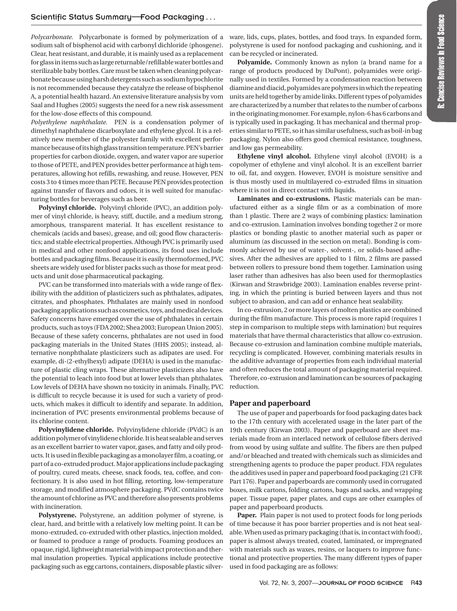*Polycarbonate.* Polycarbonate is formed by polymerization of a sodium salt of bisphenol acid with carbonyl dichloride (phosgene). Clear, heat resistant, and durable, it is mainly used as a replacement for glass in items such as large returnable/refillable water bottles and sterilizable baby bottles. Care must be taken when cleaning polycarbonate because using harsh detergents such as sodium hypochlorite is not recommended because they catalyze the release of bisphenol A, a potential health hazard. An extensive literature analysis by vom Saal and Hughes (2005) suggests the need for a new risk assessment for the low-dose effects of this compound.

*Polyethylene naphthalate.* PEN is a condensation polymer of dimethyl naphthalene dicarboxylate and ethylene glycol. It is a relatively new member of the polyester family with excellent performance because of its high glass transition temperature. PEN's barrier properties for carbon dioxide, oxygen, and water vapor are superior to those of PETE, and PEN provides better performance at high temperatures, allowing hot refills, rewashing, and reuse. However, PEN costs 3 to 4 times more than PETE. Because PEN provides protection against transfer of flavors and odors, it is well suited for manufacturing bottles for beverages such as beer.

**Polyvinyl chloride.** Polyvinyl chloride (PVC), an addition polymer of vinyl chloride, is heavy, stiff, ductile, and a medium strong, amorphous, transparent material. It has excellent resistance to chemicals (acids and bases), grease, and oil; good flow characteristics; and stable electrical properties. Although PVC is primarily used in medical and other nonfood applications, its food uses include bottles and packaging films. Because it is easily thermoformed, PVC sheets are widely used for blister packs such as those for meat products and unit dose pharmaceutical packaging.

PVC can be transformed into materials with a wide range of flexibility with the addition of plasticizers such as phthalates, adipates, citrates, and phosphates. Phthalates are mainly used in nonfood packaging applications such as cosmetics, toys, and medical devices. Safety concerns have emerged over the use of phthalates in certain products, such as toys (FDA 2002; Shea 2003; European Union 2005). Because of these safety concerns, phthalates are not used in food packaging materials in the United States (HHS 2005); instead, alternative nonphthalate plasticizers such as adipates are used. For example, di-(2-ethylhexyl) adipate (DEHA) is used in the manufacture of plastic cling wraps. These alternative plasticizers also have the potential to leach into food but at lower levels than phthalates. Low levels of DEHA have shown no toxicity in animals. Finally, PVC is difficult to recycle because it is used for such a variety of products, which makes it difficult to identify and separate. In addition, incineration of PVC presents environmental problems because of its chlorine content.

**Polyvinylidene chloride.** Polyvinylidene chloride (PVdC) is an addition polymer of vinylidene chloride. It is heat sealable and serves as an excellent barrier to water vapor, gases, and fatty and oily products. It is used in flexible packaging as a monolayer film, a coating, or part of a co-extruded product. Major applications include packaging of poultry, cured meats, cheese, snack foods, tea, coffee, and confectionary. It is also used in hot filling, retorting, low-temperature storage, and modified atmosphere packaging. PVdC contains twice the amount of chlorine as PVC and therefore also presents problems with incineration.

**Polystyrene.** Polystyrene, an addition polymer of styrene, is clear, hard, and brittle with a relatively low melting point. It can be mono-extruded, co-extruded with other plastics, injection molded, or foamed to produce a range of products. Foaming produces an opaque, rigid, lightweight material with impact protection and thermal insulation properties. Typical applications include protective packaging such as egg cartons, containers, disposable plastic silver-

ware, lids, cups, plates, bottles, and food trays. In expanded form, polystyrene is used for nonfood packaging and cushioning, and it can be recycled or incinerated.

**Polyamide.** Commonly known as nylon (a brand name for a range of products produced by DuPont), polyamides were originally used in textiles. Formed by a condensation reaction between diamine and diacid, polyamides are polymers in which the repeating units are held together by amide links. Different types of polyamides are characterized by a number that relates to the number of carbons in the originating monomer. For example, nylon-6 has 6 carbons and is typically used in packaging. It has mechanical and thermal properties similar to PETE, so it has similar usefulness, such as boil-in bag packaging. Nylon also offers good chemical resistance, toughness, and low gas permeability.

**Ethylene vinyl alcohol.** Ethylene vinyl alcohol (EVOH) is a copolymer of ethylene and vinyl alcohol. It is an excellent barrier to oil, fat, and oxygen. However, EVOH is moisture sensitive and is thus mostly used in multilayered co-extruded films in situation where it is not in direct contact with liquids.

**Laminates and co-extrusions.** Plastic materials can be manufactured either as a single film or as a combination of more than 1 plastic. There are 2 ways of combining plastics: lamination and co-extrusion. Lamination involves bonding together 2 or more plastics or bonding plastic to another material such as paper or aluminum (as discussed in the section on metal). Bonding is commonly achieved by use of water-, solvent-, or solids-based adhesives. After the adhesives are applied to 1 film, 2 films are passed between rollers to pressure bond them together. Lamination using laser rather than adhesives has also been used for thermoplastics (Kirwan and Strawbridge 2003). Lamination enables reverse printing, in which the printing is buried between layers and thus not subject to abrasion, and can add or enhance heat sealability.

In co-extrusion, 2 or more layers of molten plastics are combined during the film manufacture. This process is more rapid (requires 1 step in comparison to multiple steps with lamination) but requires materials that have thermal characteristics that allow co-extrusion. Because co-extrusion and lamination combine multiple materials, recycling is complicated. However, combining materials results in the additive advantage of properties from each individual material and often reduces the total amount of packaging material required. Therefore, co-extrusion and lamination can be sources of packaging reduction.

#### **Paper and paperboard**

The use of paper and paperboards for food packaging dates back to the 17th century with accelerated usage in the later part of the 19th century (Kirwan 2003). Paper and paperboard are sheet materials made from an interlaced network of cellulose fibers derived from wood by using sulfate and sulfite. The fibers are then pulped and/or bleached and treated with chemicals such as slimicides and strengthening agents to produce the paper product. FDA regulates the additives used in paper and paperboard food packaging (21 CFR Part 176). Paper and paperboards are commonly used in corrugated boxes, milk cartons, folding cartons, bags and sacks, and wrapping paper. Tissue paper, paper plates, and cups are other examples of paper and paperboard products.

**Paper.** Plain paper is not used to protect foods for long periods of time because it has poor barrier properties and is not heat sealable. When used as primary packaging (that is, in contact with food), paper is almost always treated, coated, laminated, or impregnated with materials such as waxes, resins, or lacquers to improve functional and protective properties. The many different types of paper used in food packaging are as follows: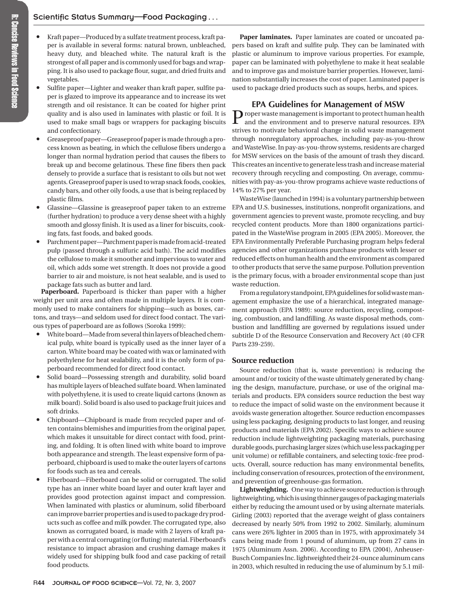- Kraft paper—Produced by a sulfate treatment process, kraft paper is available in several forms: natural brown, unbleached, heavy duty, and bleached white. The natural kraft is the strongest of all paper and is commonly used for bags and wrapping. It is also used to package flour, sugar, and dried fruits and vegetables.<br> Sulfite paper—Lighter and weaker than kraft paper, sulfite pa-
- per is glazed to improve its appearance and to increase its wet strength and oil resistance. It can be coated for higher print quality and is also used in laminates with plastic or foil. It is used to make small bags or wrappers for packaging biscuits and confectionary.<br> Greaseproof paper—Greaseproof paper is made through a pro-
- cess known as beating, in which the cellulose fibers undergo a longer than normal hydration period that causes the fibers to break up and become gelatinous. These fine fibers then pack densely to provide a surface that is resistant to oils but not wet agents. Greaseproof paper is used to wrap snack foods, cookies, candy bars, and other oily foods, a use that is being replaced by plastic films. Glassine—Glassine is greaseproof paper taken to an extreme
- (further hydration) to produce a very dense sheet with a highly smooth and glossy finish. It is used as a liner for biscuits, cook-
- ing fats, fast foods, and baked goods. Parchment paper—Parchment paper is made from acid-treated pulp (passed through a sulfuric acid bath). The acid modifies the cellulose to make it smoother and impervious to water and oil, which adds some wet strength. It does not provide a good barrier to air and moisture, is not heat sealable, and is used to package fats such as butter and lard.

**Paperboard.** Paperboard is thicker than paper with a higher weight per unit area and often made in multiple layers. It is commonly used to make containers for shipping—such as boxes, cartons, and trays—and seldom used for direct food contact. The various types of paperboard are as follows (Soroka 1999):

- White board—Made from several thin layers of bleached chemical pulp, white board is typically used as the inner layer of a carton. White board may be coated with wax or laminated with polyethylene for heat sealability, and it is the only form of paperboard recommended for direct food contact. Solid board—Possessing strength and durability, solid board
- has multiple layers of bleached sulfate board. When laminated with polyethylene, it is used to create liquid cartons (known as milk board). Solid board is also used to package fruit juices and soft drinks.<br>Chipboard—Chipboard is made from recycled paper and of-
- ten contains blemishes and impurities from the original paper, which makes it unsuitable for direct contact with food, printing, and folding. It is often lined with white board to improve both appearance and strength. The least expensive form of paperboard, chipboard is used to make the outer layers of cartons for foods such as tea and cereals. Fiberboard—Fiberboard can be solid or corrugated. The solid
- type has an inner white board layer and outer kraft layer and provides good protection against impact and compression. When laminated with plastics or aluminum, solid fiberboard can improve barrier properties and is used to package dry products such as coffee and milk powder. The corrugated type, also known as corrugated board, is made with 2 layers of kraft paper with a central corrugating (or fluting) material. Fiberboard's resistance to impact abrasion and crushing damage makes it widely used for shipping bulk food and case packing of retail food products.

**Paper laminates.** Paper laminates are coated or uncoated papers based on kraft and sulfite pulp. They can be laminated with plastic or aluminum to improve various properties. For example, paper can be laminated with polyethylene to make it heat sealable and to improve gas and moisture barrier properties. However, lamination substantially increases the cost of paper. Laminated paper is used to package dried products such as soups, herbs, and spices.

# **EPA Guidelines for Management of MSW**

Proper waste management is important to protect human health and the environment and to preserve natural resources. EPA strives to motivate behavioral change in solid waste management through nonregulatory approaches, including pay-as-you-throw and WasteWise. In pay-as-you-throw systems, residents are charged for MSW services on the basis of the amount of trash they discard. This creates an incentive to generate less trash and increase material recovery through recycling and composting. On average, communities with pay-as-you-throw programs achieve waste reductions of 14% to 27% per year.

WasteWise (launched in 1994) is a voluntary partnership between EPA and U.S. businesses, institutions, nonprofit organizations, and government agencies to prevent waste, promote recycling, and buy recycled content products. More than 1800 organizations participated in the WasteWise program in 2005 (EPA 2005). Moreover, the EPA Environmentally Preferable Purchasing program helps federal agencies and other organizations purchase products with lesser or reduced effects on human health and the environment as compared to other products that serve the same purpose. Pollution prevention is the primary focus, with a broader environmental scope than just waste reduction.

From a regulatory standpoint, EPA guidelines for solid waste management emphasize the use of a hierarchical, integrated management approach (EPA 1989): source reduction, recycling, composting, combustion, and landfilling. As waste disposal methods, combustion and landfilling are governed by regulations issued under subtitle D of the Resource Conservation and Recovery Act (40 CFR Parts 239-259).

#### **Source reduction**

Source reduction (that is, waste prevention) is reducing the amount and/or toxicity of the waste ultimately generated by changing the design, manufacture, purchase, or use of the original materials and products. EPA considers source reduction the best way to reduce the impact of solid waste on the environment because it avoids waste generation altogether. Source reduction encompasses using less packaging, designing products to last longer, and reusing products and materials (EPA 2002). Specific ways to achieve source reduction include lightweighting packaging materials, purchasing durable goods, purchasing larger sizes (which use less packaging per unit volume) or refillable containers, and selecting toxic-free products. Overall, source reduction has many environmental benefits, including conservation of resources, protection of the environment, and prevention of greenhouse-gas formation.

**Lightweighting.** One way to achieve source reduction is through lightweighting, which is using thinner gauges of packaging materials either by reducing the amount used or by using alternate materials. Girling (2003) reported that the average weight of glass containers decreased by nearly 50% from 1992 to 2002. Similarly, aluminum cans were 26% lighter in 2005 than in 1975, with approximately 34 cans being made from 1 pound of aluminum, up from 27 cans in 1975 (Aluminum Assn. 2006). According to EPA (2004), Anheuser-Busch Companies Inc. lightweighted their 24-ounce aluminum cans in 2003, which resulted in reducing the use of aluminum by 5.1 mil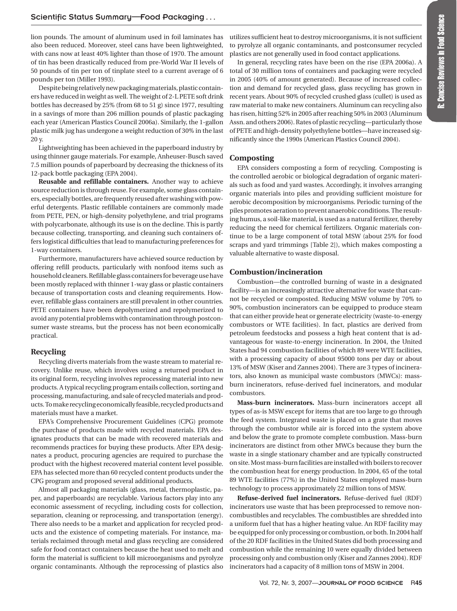lion pounds. The amount of aluminum used in foil laminates has also been reduced. Moreover, steel cans have been lightweighted, with cans now at least 40% lighter than those of 1970. The amount of tin has been drastically reduced from pre-World War II levels of 50 pounds of tin per ton of tinplate steel to a current average of 6 pounds per ton (Miller 1993).

Despite being relatively new packaging materials, plastic containers have reduced in weight as well. The weight of 2-L PETE soft drink bottles has decreased by 25% (from 68 to 51 g) since 1977, resulting in a savings of more than 206 million pounds of plastic packaging each year (American Plastics Council 2006a). Similarly, the 1-gallon plastic milk jug has undergone a weight reduction of 30% in the last 20 y.

Lightweighting has been achieved in the paperboard industry by using thinner gauge materials. For example, Anheuser-Busch saved 7.5 million pounds of paperboard by decreasing the thickness of its 12-pack bottle packaging (EPA 2004).

**Reusable and refillable containers.** Another way to achieve source reduction is through reuse. For example, some glass containers, especially bottles, are frequently reused after washing with powerful detergents. Plastic refillable containers are commonly made from PETE, PEN, or high-density polyethylene, and trial programs with polycarbonate, although its use is on the decline. This is partly because collecting, transporting, and cleaning such containers offers logistical difficulties that lead to manufacturing preferences for 1-way containers.

Furthermore, manufacturers have achieved source reduction by offering refill products, particularly with nonfood items such as household cleaners. Refillable glass containers for beverage use have been mostly replaced with thinner 1-way glass or plastic containers because of transportation costs and cleaning requirements. However, refillable glass containers are still prevalent in other countries. PETE containers have been depolymerized and repolymerized to avoid any potential problems with contamination through postconsumer waste streams, but the process has not been economically practical.

# **Recycling**

Recycling diverts materials from the waste stream to material recovery. Unlike reuse, which involves using a returned product in its original form, recycling involves reprocessing material into new products. A typical recycling program entails collection, sorting and processing, manufacturing, and sale of recycled materials and products. To make recycling economically feasible, recycled products and materials must have a market.

EPA's Comprehensive Procurement Guidelines (CPG) promote the purchase of products made with recycled materials. EPA designates products that can be made with recovered materials and recommends practices for buying these products. After EPA designates a product, procuring agencies are required to purchase the product with the highest recovered material content level possible. EPA has selected more than 60 recycled content products under the CPG program and proposed several additional products.

Almost all packaging materials (glass, metal, thermoplastic, paper, and paperboards) are recyclable. Various factors play into any economic assessment of recycling, including costs for collection, separation, cleaning or reprocessing, and transportation (energy). There also needs to be a market and application for recycled products and the existence of competing materials. For instance, materials reclaimed through metal and glass recycling are considered safe for food contact containers because the heat used to melt and form the material is sufficient to kill microorganisms and pyrolyze organic contaminants. Although the reprocessing of plastics also

utilizes sufficient heat to destroy microorganisms, it is not sufficient to pyrolyze all organic contaminants, and postconsumer recycled plastics are not generally used in food contact applications.

In general, recycling rates have been on the rise (EPA 2006a). A total of 30 million tons of containers and packaging were recycled in 2005 (40% of amount generated). Because of increased collection and demand for recycled glass, glass recycling has grown in recent years. About 90% of recycled crushed glass (cullet) is used as raw material to make new containers. Aluminum can recycling also has risen, hitting 52% in 2005 after reaching 50% in 2003 (Aluminum Assn. and others 2006). Rates of plastic recycling—particularly those of PETE and high-density polyethylene bottles—have increased significantly since the 1990s (American Plastics Council 2004).

# **Composting**

EPA considers composting a form of recycling. Composting is the controlled aerobic or biological degradation of organic materials such as food and yard wastes. Accordingly, it involves arranging organic materials into piles and providing sufficient moisture for aerobic decomposition by microorganisms. Periodic turning of the piles promotes aeration to prevent anaerobic conditions. The resulting humus, a soil-like material, is used as a natural fertilizer, thereby reducing the need for chemical fertilizers. Organic materials continue to be a large component of total MSW (about 25% for food scraps and yard trimmings [Table 2]), which makes composting a valuable alternative to waste disposal.

## **Combustion/incineration**

Combustion—the controlled burning of waste in a designated facility—is an increasingly attractive alternative for waste that cannot be recycled or composted. Reducing MSW volume by 70% to 90%, combustion incinerators can be equipped to produce steam that can either provide heat or generate electricity (waste-to-energy combustors or WTE facilities). In fact, plastics are derived from petroleum feedstocks and possess a high heat content that is advantageous for waste-to-energy incineration. In 2004, the United States had 94 combustion facilities of which 89 were WTE facilities, with a processing capacity of about 95000 tons per day or about 13% of MSW (Kiser and Zannes 2004). There are 3 types of incinerators, also known as municipal waste combustors (MWCs): massburn incinerators, refuse-derived fuel incinerators, and modular combustors.

**Mass-burn incinerators.** Mass-burn incinerators accept all types of as-is MSW except for items that are too large to go through the feed system. Integrated waste is placed on a grate that moves through the combustor while air is forced into the system above and below the grate to promote complete combustion. Mass-burn incinerators are distinct from other MWCs because they burn the waste in a single stationary chamber and are typically constructed on site. Most mass-burn facilities are installed with boilers to recover the combustion heat for energy production. In 2004, 65 of the total 89 WTE facilities (77%) in the United States employed mass-burn technology to process approximately 22 million tons of MSW.

**Refuse-derived fuel incinerators.** Refuse-derived fuel (RDF) incinerators use waste that has been preprocessed to remove noncombustibles and recyclables. The combustibles are shredded into a uniform fuel that has a higher heating value. An RDF facility may be equipped for only processing or combustion, or both. In 2004 half of the 20 RDF facilities in the United States did both processing and combustion while the remaining 10 were equally divided between processing only and combustion only (Kiser and Zannes 2004). RDF incinerators had a capacity of 8 million tons of MSW in 2004.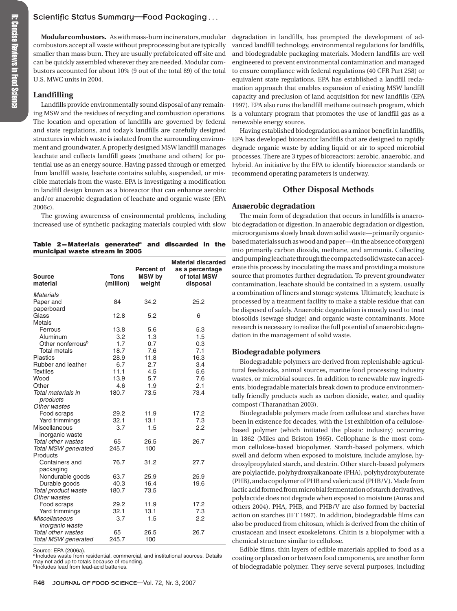**Modularcombustors.** As with mass-burn incinerators, modular combustors accept all waste without preprocessing but are typically smaller than mass burn. They are usually prefabricated off site and can be quickly assembled wherever they are needed. Modular combustors accounted for about 10% (9 out of the total 89) of the total U.S. MWC units in 2004.

#### **Landfilling**

Landfills provide environmentally sound disposal of any remaining MSW and the residues of recycling and combustion operations. The location and operation of landfills are governed by federal and state regulations, and today's landfills are carefully designed structures in which waste is isolated from the surrounding environment and groundwater. A properly designed MSW landfill manages leachate and collects landfill gases (methane and others) for potential use as an energy source. Having passed through or emerged from landfill waste, leachate contains soluble, suspended, or miscible materials from the waste. EPA is investigating a modification in landfill design known as a bioreactor that can enhance aerobic and/or anaerobic degradation of leachate and organic waste (EPA 2006c).

The growing awareness of environmental problems, including increased use of synthetic packaging materials coupled with slow

| Table 2—Materials generatedª and discarded in the |  |  |  |
|---------------------------------------------------|--|--|--|
| municipal waste stream in 2005                    |  |  |  |

| <b>Source</b><br>material     | Tons<br>(million) | Percent of<br><b>MSW by</b><br>weight | <b>Material discarded</b><br>as a percentage<br>of total MSW<br>disposal |
|-------------------------------|-------------------|---------------------------------------|--------------------------------------------------------------------------|
| <b>Materials</b>              |                   |                                       |                                                                          |
| Paper and                     | 84                | 34.2                                  | 25.2                                                                     |
| paperboard                    |                   |                                       |                                                                          |
| Glass                         | 12.8              | 5.2                                   | 6                                                                        |
| <b>Metals</b>                 |                   |                                       |                                                                          |
| Ferrous                       | 13.8              | 5.6                                   | 5.3                                                                      |
| Aluminum                      | 3.2               | 1.3                                   | 1.5                                                                      |
| Other nonferrous <sup>b</sup> | 1.7               | 0.7                                   | 0.3                                                                      |
| <b>Total metals</b>           | 18.7              | 7.6                                   | 7.1                                                                      |
| <b>Plastics</b>               | 28.9              | 11.8                                  | 16.3                                                                     |
| Rubber and leather            | 6.7               | 2.7                                   | 3.4                                                                      |
| <b>Textiles</b>               | 11.1              | 4.5                                   | 5.6                                                                      |
| Wood                          | 13.9              | 5.7                                   | 7.6                                                                      |
| Other                         | 4.6               | 1.9                                   | 2.1                                                                      |
| Total materials in            | 180.7             | 73.5                                  | 73.4                                                                     |
| products                      |                   |                                       |                                                                          |
| Other wastes                  |                   |                                       |                                                                          |
| Food scraps                   | 29.2              | 11.9                                  | 17.2                                                                     |
| Yard trimmings                | 32.1              | 13.1                                  | 7.3                                                                      |
| Miscellaneous                 | 3.7               | 1.5                                   | 2.2                                                                      |
| inorganic waste               |                   |                                       |                                                                          |
| Total other wastes            | 65                | 26.5                                  | 26.7                                                                     |
| Total MSW generated           | 245.7             | 100                                   |                                                                          |
| Products                      |                   |                                       |                                                                          |
| Containers and                | 76.7              | 31.2                                  | 27.7                                                                     |
| packaging                     |                   |                                       |                                                                          |
| Nondurable goods              | 63.7              | 25.9                                  | 25.9                                                                     |
| Durable goods                 | 40.3              | 16.4                                  | 19.6                                                                     |
| Total product waste           | 180.7             | 73.5                                  |                                                                          |
| Other wastes                  |                   |                                       |                                                                          |
| Food scraps                   | 29.2              | 11.9                                  | 17.2                                                                     |
| Yard trimmings                | 32.1              | 13.1                                  | 7.3                                                                      |
| <b>Miscellaneous</b>          | 3.7               | 1.5                                   | 2.2                                                                      |
| inorganic waste               |                   |                                       |                                                                          |
| <b>Total other wastes</b>     | 65                | 26.5                                  | 26.7                                                                     |
| Total MSW generated           | 245.7             | 100                                   |                                                                          |

Source: EPA (2006a).

alncludes waste from residential, commercial, and institutional sources. Details may not add up to totals because of rounding. <sup>2</sup>Includes lead from lead-acid batteries.

R**46** JOURNAL OF FOOD SCIENCE—Vol. 72, Nr. 3, 2007

degradation in landfills, has prompted the development of advanced landfill technology, environmental regulations for landfills, and biodegradable packaging materials. Modern landfills are well engineered to prevent environmental contamination and managed to ensure compliance with federal regulations (40 CFR Part 258) or equivalent state regulations. EPA has established a landfill reclamation approach that enables expansion of existing MSW landfill capacity and preclusion of land acquisition for new landfills (EPA 1997). EPA also runs the landfill methane outreach program, which is a voluntary program that promotes the use of landfill gas as a renewable energy source.

Having established biodegradation as a minor benefit in landfills, EPA has developed bioreactor landfills that are designed to rapidly degrade organic waste by adding liquid or air to speed microbial processes. There are 3 types of bioreactors: aerobic, anaerobic, and hybrid. An initiative by the EPA to identify bioreactor standards or recommend operating parameters is underway.

#### **Other Disposal Methods**

#### **Anaerobic degradation**

The main form of degradation that occurs in landfills is anaerobic degradation or digestion. In anaerobic degradation or digestion, microorganisms slowly break down solid waste—primarily organicbased materials such as wood and paper—(in the absence of oxygen) into primarily carbon dioxide, methane, and ammonia. Collecting and pumping leachate through the compacted solid waste can accelerate this process by inoculating the mass and providing a moisture source that promotes further degradation. To prevent groundwater contamination, leachate should be contained in a system, usually a combination of liners and storage systems. Ultimately, leachate is processed by a treatment facility to make a stable residue that can be disposed of safely. Anaerobic degradation is mostly used to treat biosolids (sewage sludge) and organic waste contaminants. More research is necessary to realize the full potential of anaerobic degradation in the management of solid waste.

#### **Biodegradable polymers**

Biodegradable polymers are derived from replenishable agricultural feedstocks, animal sources, marine food processing industry wastes, or microbial sources. In addition to renewable raw ingredients, biodegradable materials break down to produce environmentally friendly products such as carbon dioxide, water, and quality compost (Tharanathan 2003).

Biodegradable polymers made from cellulose and starches have been in existence for decades, with the 1st exhibition of a cellulosebased polymer (which initiated the plastic industry) occurring in 1862 (Miles and Briston 1965). Cellophane is the most common cellulose-based biopolymer. Starch-based polymers, which swell and deform when exposed to moisture, include amylose, hydroxylpropylated starch, and dextrin. Other starch-based polymers are polylactide, polyhydroxyalkanoate (PHA), polyhydroxybuterate (PHB), and a copolymer of PHB and valeric acid (PHB/V). Made from lactic acid formed from microbial fermentation of starch derivatives, polylactide does not degrade when exposed to moisture (Auras and others 2004). PHA, PHB, and PHB/V are also formed by bacterial action on starches (IFT 1997). In addition, biodegradable films can also be produced from chitosan, which is derived from the chitin of crustacean and insect exoskeletons. Chitin is a biopolymer with a chemical structure similar to cellulose.

Edible films, thin layers of edible materials applied to food as a coating or placed on or between food components, are another form of biodegradable polymer. They serve several purposes, including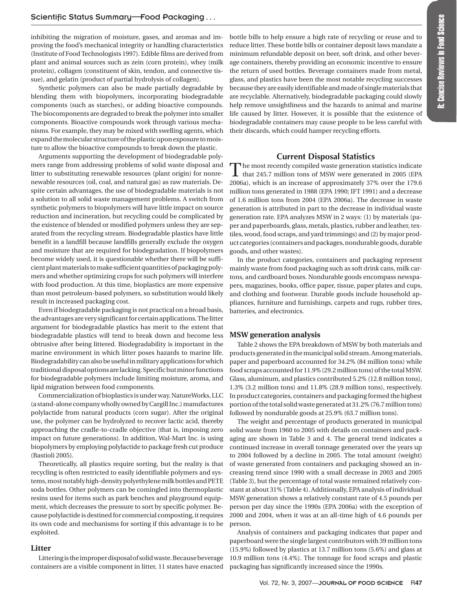inhibiting the migration of moisture, gases, and aromas and improving the food's mechanical integrity or handling characteristics (Institute of Food Technologists 1997). Edible films are derived from plant and animal sources such as zein (corn protein), whey (milk protein), collagen (constituent of skin, tendon, and connective tissue), and gelatin (product of partial hydrolysis of collagen).

Synthetic polymers can also be made partially degradable by blending them with biopolymers, incorporating biodegradable components (such as starches), or adding bioactive compounds. The biocomponents are degraded to break the polymer into smaller components. Bioactive compounds work through various mechanisms. For example, they may be mixed with swelling agents, which expand the molecular structure of the plastic upon exposure to moisture to allow the bioactive compounds to break down the plastic.

Arguments supporting the development of biodegradable polymers range from addressing problems of solid waste disposal and litter to substituting renewable resources (plant origin) for nonrenewable resources (oil, coal, and natural gas) as raw materials. Despite certain advantages, the use of biodegradable materials is not a solution to all solid waste management problems. A switch from synthetic polymers to biopolymers will have little impact on source reduction and incineration, but recycling could be complicated by the existence of blended or modified polymers unless they are separated from the recycling stream. Biodegradable plastics have little benefit in a landfill because landfills generally exclude the oxygen and moisture that are required for biodegradation. If biopolymers become widely used, it is questionable whether there will be sufficient plant materials to make sufficient quantities of packaging polymers and whether optimizing crops for such polymers will interfere with food production. At this time, bioplastics are more expensive than most petroleum-based polymers, so substitution would likely result in increased packaging cost.

Even if biodegradable packaging is not practical on a broad basis, the advantages are very significant for certain applications. The litter argument for biodegradable plastics has merit to the extent that biodegradable plastics will tend to break down and become less obtrusive after being littered. Biodegradability is important in the marine environment in which litter poses hazards to marine life. Biodegradability can also be useful in military applications for which traditional disposal options are lacking. Specific but minor functions for biodegradable polymers include limiting moisture, aroma, and lipid migration between food components.

Commercialization of bioplastics is under way. NatureWorks, LLC (a stand-alone company wholly owned by Cargill Inc.) manufactures polylactide from natural products (corn sugar). After the original use, the polymer can be hydrolyzed to recover lactic acid, thereby approaching the cradle-to-cradle objective (that is, imposing zero impact on future generations). In addition, Wal-Mart Inc. is using biopolymers by employing polylactide to package fresh cut produce (Bastioli 2005).

Theoretically, all plastics require sorting, but the reality is that recycling is often restricted to easily identifiable polymers and systems, most notably high-density polyethylene milk bottles and PETE soda bottles. Other polymers can be comingled into thermoplastic resins used for items such as park benches and playground equipment, which decreases the pressure to sort by specific polymer. Because polylactide is destined for commercial composting, it requires its own code and mechanisms for sorting if this advantage is to be exploited.

#### **Litter**

Littering is the improper disposal of solid waste. Because beverage containers are a visible component in litter, 11 states have enacted bottle bills to help ensure a high rate of recycling or reuse and to reduce litter. These bottle bills or container deposit laws mandate a minimum refundable deposit on beer, soft drink, and other beverage containers, thereby providing an economic incentive to ensure the return of used bottles. Beverage containers made from metal, glass, and plastics have been the most notable recycling successes because they are easily identifiable and made of single materials that are recyclable. Alternatively, biodegradable packaging could slowly help remove unsightliness and the hazards to animal and marine life caused by litter. However, it is possible that the existence of biodegradable containers may cause people to be less careful with their discards, which could hamper recycling efforts.

# **Current Disposal Statistics**

The most recently compiled waste generation statistics indicate<br>that 245.7 million tons of MSW were generated in 2005 (EPA 2006a), which is an increase of approximately 37% over the 179.6 million tons generated in 1988 (EPA 1990; IFT 1991) and a decrease of 1.6 million tons from 2004 (EPA 2006a). The decrease in waste generation is attributed in part to the decrease in individual waste generation rate. EPA analyzes MSW in 2 ways: (1) by materials (paper and paperboards, glass, metals, plastics, rubber and leather, textiles, wood, food scraps, and yard trimmings) and (2) by major product categories (containers and packages, nondurable goods, durable goods, and other wastes).

In the product categories, containers and packaging represent mainly waste from food packaging such as soft drink cans, milk cartons, and cardboard boxes. Nondurable goods encompass newspapers, magazines, books, office paper, tissue, paper plates and cups, and clothing and footwear. Durable goods include household appliances, furniture and furnishings, carpets and rugs, rubber tires, batteries, and electronics.

# **MSW generation analysis**

Table 2 shows the EPA breakdown of MSW by both materials and products generated in the municipal solid stream. Among materials, paper and paperboard accounted for 34.2% (84 million tons) while food scraps accounted for 11.9% (29.2 million tons) of the total MSW. Glass, aluminum, and plastics contributed 5.2% (12.8 million tons), 1.3% (3.2 million tons) and 11.8% (28.9 million tons), respectively. In product categories, containers and packaging formed the highest portion of the total solid waste generated at 31.2% (76.7 million tons) followed by nondurable goods at 25.9% (63.7 million tons).

The weight and percentage of products generated in municipal solid waste from 1960 to 2005 with details on containers and packaging are shown in Table 3 and 4. The general trend indicates a continued increase in overall tonnage generated over the years up to 2004 followed by a decline in 2005. The total amount (weight) of waste generated from containers and packaging showed an increasing trend since 1990 with a small decrease in 2003 and 2005 (Table 3), but the percentage of total waste remained relatively constant at about 31% (Table 4). Additionally, EPA analysis of individual MSW generation shows a relatively constant rate of 4.5 pounds per person per day since the 1990s (EPA 2006a) with the exception of 2000 and 2004, when it was at an all-time high of 4.6 pounds per person.

Analysis of containers and packaging indicates that paper and paperboard were the single largest contributors with 39 million tons (15.9%) followed by plastics at 13.7 million tons (5.6%) and glass at 10.9 million tons (4.4%). The tonnage for food scraps and plastic packaging has significantly increased since the 1990s.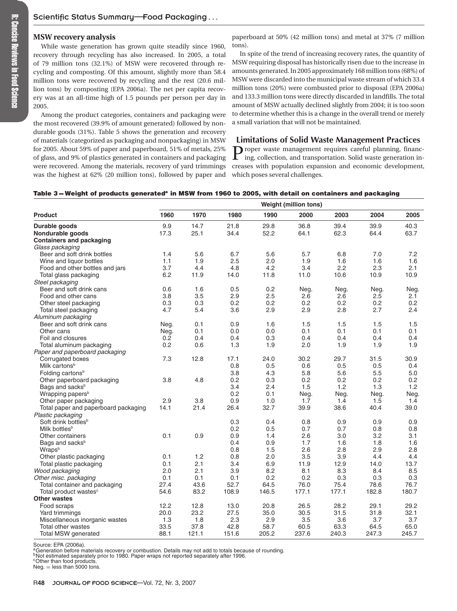#### **MSW recovery analysis**

While waste generation has grown quite steadily since 1960, recovery through recycling has also increased. In 2005, a total of 79 million tons (32.1%) of MSW were recovered through recycling and composting. Of this amount, slightly more than 58.4 million tons were recovered by recycling and the rest (20.6 million tons) by composting (EPA 2006a). The net per capita recovery was at an all-time high of 1.5 pounds per person per day in 2005.

Among the product categories, containers and packaging were the most recovered (39.9% of amount generated) followed by nondurable goods (31%). Table 5 shows the generation and recovery of materials (categorized as packaging and nonpackaging) in MSW for 2005. About 59% of paper and paperboard, 51% of metals, 25% of glass, and 9% of plastics generated in containers and packaging were recovered. Among the materials, recovery of yard trimmings was the highest at 62% (20 million tons), followed by paper and

paperboard at 50% (42 million tons) and metal at 37% (7 million tons).

In spite of the trend of increasing recovery rates, the quantity of MSW requiring disposal has historically risen due to the increase in amounts generated. In 2005 approximately 168 million tons (68%) of MSW were discarded into the municipal waste stream of which 33.4 million tons (20%) were combusted prior to disposal (EPA 2006a) and 133.3 million tons were directly discarded in landfills. The total amount of MSW actually declined slightly from 2004; it is too soon to determine whether this is a change in the overall trend or merely a small variation that will not be maintained.

#### **Limitations of Solid Waste Management Practices**

Proper waste management requires careful planning, financing, collection, and transportation. Solid waste generation increases with population expansion and economic development, which poses several challenges.

#### Table 3 -- Weight of products generated<sup>a</sup> in MSW from 1960 to 2005, with detail on containers and packaging

| 1960<br>1970<br>1980<br>1990<br>2000<br>2003<br>2004<br>2005<br>9.9<br>14.7<br>21.8<br>29.8<br>39.9<br>40.3<br>36.8<br>39.4<br>25.1<br>34.4<br>52.2<br>62.3<br>63.7<br>17.3<br>64.1<br>64.4<br><b>Containers and packaging</b><br>Beer and soft drink bottles<br>5.6<br>6.7<br>5.6<br>5.7<br>6.8<br>7.0<br>7.2<br>1.4<br>2.5<br>Wine and liquor bottles<br>1.1<br>1.9<br>2.0<br>1.9<br>1.6<br>1.6<br>1.6<br>3.7<br>4.2<br>3.4<br>2.2<br>2.3<br>2.1<br>Food and other bottles and jars<br>4.4<br>4.8<br>6.2<br>11.9<br>11.8<br>11.0<br>10.6<br>10.9<br>10.9<br>14.0<br>Total glass packaging<br>1.6<br>0.2<br>Beer and soft drink cans<br>0.6<br>0.5<br>Neg.<br>Neg.<br>Neg.<br>Neg.<br>3.5<br>2.5<br>Food and other cans<br>3.8<br>2.9<br>2.6<br>2.6<br>2.5<br>2.1<br>0.3<br>0.3<br>0.2<br>0.2<br>0.2<br>0.2<br>0.2<br>0.2<br>Other steel packaging<br>4.7<br>5.4<br>3.6<br>2.9<br>2.9<br>2.8<br>2.7<br>2.4<br>Total steel packaging<br>0.1<br>0.9<br>1.6<br>1.5<br>1.5<br>1.5<br>1.5<br>Beer and soft drink cans<br>Neg.<br>Other cans<br>0.1<br>0.0<br>0.0<br>0.1<br>0.1<br>0.1<br>0.1<br>Neg.<br>Foil and closures<br>0.2<br>0.4<br>0.4<br>0.3<br>0.4<br>0.4<br>0.4<br>0.4<br>0.2<br>0.6<br>1.3<br>1.9<br>2.0<br>1.9<br>1.9<br>1.9<br>Total aluminum packaging<br>7.3<br>12.8<br>17.1<br>31.5<br>Corrugated boxes<br>24.0<br>30.2<br>29.7<br>30.9<br>0.8<br>0.5<br>Milk cartons <sup>b</sup><br>0.5<br>0.6<br>0.5<br>0.4<br>3.8<br>4.3<br>5.8<br>5.6<br>5.5<br>5.0<br>Folding cartons <sup>b</sup><br>3.8<br>4.8<br>0.2<br>0.3<br>0.2<br>0.2<br>0.2<br>0.2<br>Other paperboard packaging<br>1.5<br>1.2<br>1.3<br>Bags and sacks <sup>b</sup><br>3.4<br>2.4<br>1.2<br>0.2<br>0.1<br>Wrapping papers <sup>b</sup><br>Neg.<br>Neg.<br>Neg.<br>Neg.<br>2.9<br>3.8<br>0.9<br>1.4<br>Other paper packaging<br>1.0<br>1.7<br>1.5<br>1.4<br>21.4<br>32.7<br>Total paper and paperboard packaging<br>14.1<br>26.4<br>39.9<br>38.6<br>40.4<br>39.0<br>Plastic packaging<br>Soft drink bottles <sup>b</sup><br>0.3<br>0.4<br>0.8<br>0.9<br>0.9<br>0.9<br>0.2<br>0.7<br>Milk bottles <sup>b</sup><br>0.5<br>0.7<br>0.8<br>0.8<br>0.1<br>0.9<br>1.4<br>2.6<br>3.0<br>3.2<br>3.1<br>Other containers<br>0.9<br>0.4<br>0.9<br>1.7<br>1.6<br>1.8<br>1.6<br>Bags and sacks <sup>b</sup><br>1.5<br>2.9<br>Wrapsb<br>0.8<br>2.6<br>2.8<br>2.8<br>3.9<br>4.4<br>Other plastic packaging<br>0.1<br>1.2<br>0.8<br>2.0<br>3.5<br>4.4<br>2.1<br>3.4<br>6.9<br>11.9<br>12.9<br>14.0<br>Total plastic packaging<br>0.1<br>13.7<br>2.0<br>2.1<br>3.9<br>8.2<br>8.1<br>8.3<br>8.4<br>8.5<br>Wood packaging<br>0.1<br>0.1<br>0.2<br>0.2<br>0.3<br>0.3<br>Other misc. packaging<br>0.1<br>0.3<br>52.7<br>27.4<br>43.6<br>64.5<br>76.0<br>75.4<br>78.6<br>76.7<br>Total container and packaging<br>108.9<br>177.1<br>54.6<br>83.2<br>146.5<br>177.1<br>182.8<br>180.7<br>Total product wastes <sup>c</sup><br>12.2<br>12.8<br>26.5<br>28.2<br>29.1<br>29.2<br>13.0<br>20.8<br>Food scraps<br>23.2<br>27.5<br>20.0<br>35.0<br>30.5<br>31.5<br>31.8<br>32.1<br>Yard trimmings<br>2.3<br>3.7<br>3.7<br>1.3<br>1.8<br>2.9<br>3.5<br>3.6<br>Miscellaneous inorganic wastes<br>37.8<br>33.5<br>42.8<br>58.7<br>60.5<br>63.3<br>64.5<br>65.0<br>Total other wastes<br>88.1<br>245.7<br>121.1 |                                |  |       |       | Weight (million tons) |       |       |  |
|-----------------------------------------------------------------------------------------------------------------------------------------------------------------------------------------------------------------------------------------------------------------------------------------------------------------------------------------------------------------------------------------------------------------------------------------------------------------------------------------------------------------------------------------------------------------------------------------------------------------------------------------------------------------------------------------------------------------------------------------------------------------------------------------------------------------------------------------------------------------------------------------------------------------------------------------------------------------------------------------------------------------------------------------------------------------------------------------------------------------------------------------------------------------------------------------------------------------------------------------------------------------------------------------------------------------------------------------------------------------------------------------------------------------------------------------------------------------------------------------------------------------------------------------------------------------------------------------------------------------------------------------------------------------------------------------------------------------------------------------------------------------------------------------------------------------------------------------------------------------------------------------------------------------------------------------------------------------------------------------------------------------------------------------------------------------------------------------------------------------------------------------------------------------------------------------------------------------------------------------------------------------------------------------------------------------------------------------------------------------------------------------------------------------------------------------------------------------------------------------------------------------------------------------------------------------------------------------------------------------------------------------------------------------------------------------------------------------------------------------------------------------------------------------------------------------------------------------------------------------------------------------------------------------------------------------------------------------------------------------------------------------------------------------------------------------------------------------------------------------------------------------------------------------------------------------------------------------------------------------------------------|--------------------------------|--|-------|-------|-----------------------|-------|-------|--|
|                                                                                                                                                                                                                                                                                                                                                                                                                                                                                                                                                                                                                                                                                                                                                                                                                                                                                                                                                                                                                                                                                                                                                                                                                                                                                                                                                                                                                                                                                                                                                                                                                                                                                                                                                                                                                                                                                                                                                                                                                                                                                                                                                                                                                                                                                                                                                                                                                                                                                                                                                                                                                                                                                                                                                                                                                                                                                                                                                                                                                                                                                                                                                                                                                                                           | <b>Product</b>                 |  |       |       |                       |       |       |  |
|                                                                                                                                                                                                                                                                                                                                                                                                                                                                                                                                                                                                                                                                                                                                                                                                                                                                                                                                                                                                                                                                                                                                                                                                                                                                                                                                                                                                                                                                                                                                                                                                                                                                                                                                                                                                                                                                                                                                                                                                                                                                                                                                                                                                                                                                                                                                                                                                                                                                                                                                                                                                                                                                                                                                                                                                                                                                                                                                                                                                                                                                                                                                                                                                                                                           | Durable goods                  |  |       |       |                       |       |       |  |
|                                                                                                                                                                                                                                                                                                                                                                                                                                                                                                                                                                                                                                                                                                                                                                                                                                                                                                                                                                                                                                                                                                                                                                                                                                                                                                                                                                                                                                                                                                                                                                                                                                                                                                                                                                                                                                                                                                                                                                                                                                                                                                                                                                                                                                                                                                                                                                                                                                                                                                                                                                                                                                                                                                                                                                                                                                                                                                                                                                                                                                                                                                                                                                                                                                                           | Nondurable goods               |  |       |       |                       |       |       |  |
|                                                                                                                                                                                                                                                                                                                                                                                                                                                                                                                                                                                                                                                                                                                                                                                                                                                                                                                                                                                                                                                                                                                                                                                                                                                                                                                                                                                                                                                                                                                                                                                                                                                                                                                                                                                                                                                                                                                                                                                                                                                                                                                                                                                                                                                                                                                                                                                                                                                                                                                                                                                                                                                                                                                                                                                                                                                                                                                                                                                                                                                                                                                                                                                                                                                           |                                |  |       |       |                       |       |       |  |
|                                                                                                                                                                                                                                                                                                                                                                                                                                                                                                                                                                                                                                                                                                                                                                                                                                                                                                                                                                                                                                                                                                                                                                                                                                                                                                                                                                                                                                                                                                                                                                                                                                                                                                                                                                                                                                                                                                                                                                                                                                                                                                                                                                                                                                                                                                                                                                                                                                                                                                                                                                                                                                                                                                                                                                                                                                                                                                                                                                                                                                                                                                                                                                                                                                                           | Glass packaging                |  |       |       |                       |       |       |  |
|                                                                                                                                                                                                                                                                                                                                                                                                                                                                                                                                                                                                                                                                                                                                                                                                                                                                                                                                                                                                                                                                                                                                                                                                                                                                                                                                                                                                                                                                                                                                                                                                                                                                                                                                                                                                                                                                                                                                                                                                                                                                                                                                                                                                                                                                                                                                                                                                                                                                                                                                                                                                                                                                                                                                                                                                                                                                                                                                                                                                                                                                                                                                                                                                                                                           |                                |  |       |       |                       |       |       |  |
|                                                                                                                                                                                                                                                                                                                                                                                                                                                                                                                                                                                                                                                                                                                                                                                                                                                                                                                                                                                                                                                                                                                                                                                                                                                                                                                                                                                                                                                                                                                                                                                                                                                                                                                                                                                                                                                                                                                                                                                                                                                                                                                                                                                                                                                                                                                                                                                                                                                                                                                                                                                                                                                                                                                                                                                                                                                                                                                                                                                                                                                                                                                                                                                                                                                           |                                |  |       |       |                       |       |       |  |
|                                                                                                                                                                                                                                                                                                                                                                                                                                                                                                                                                                                                                                                                                                                                                                                                                                                                                                                                                                                                                                                                                                                                                                                                                                                                                                                                                                                                                                                                                                                                                                                                                                                                                                                                                                                                                                                                                                                                                                                                                                                                                                                                                                                                                                                                                                                                                                                                                                                                                                                                                                                                                                                                                                                                                                                                                                                                                                                                                                                                                                                                                                                                                                                                                                                           |                                |  |       |       |                       |       |       |  |
|                                                                                                                                                                                                                                                                                                                                                                                                                                                                                                                                                                                                                                                                                                                                                                                                                                                                                                                                                                                                                                                                                                                                                                                                                                                                                                                                                                                                                                                                                                                                                                                                                                                                                                                                                                                                                                                                                                                                                                                                                                                                                                                                                                                                                                                                                                                                                                                                                                                                                                                                                                                                                                                                                                                                                                                                                                                                                                                                                                                                                                                                                                                                                                                                                                                           |                                |  |       |       |                       |       |       |  |
|                                                                                                                                                                                                                                                                                                                                                                                                                                                                                                                                                                                                                                                                                                                                                                                                                                                                                                                                                                                                                                                                                                                                                                                                                                                                                                                                                                                                                                                                                                                                                                                                                                                                                                                                                                                                                                                                                                                                                                                                                                                                                                                                                                                                                                                                                                                                                                                                                                                                                                                                                                                                                                                                                                                                                                                                                                                                                                                                                                                                                                                                                                                                                                                                                                                           | Steel packaging                |  |       |       |                       |       |       |  |
|                                                                                                                                                                                                                                                                                                                                                                                                                                                                                                                                                                                                                                                                                                                                                                                                                                                                                                                                                                                                                                                                                                                                                                                                                                                                                                                                                                                                                                                                                                                                                                                                                                                                                                                                                                                                                                                                                                                                                                                                                                                                                                                                                                                                                                                                                                                                                                                                                                                                                                                                                                                                                                                                                                                                                                                                                                                                                                                                                                                                                                                                                                                                                                                                                                                           |                                |  |       |       |                       |       |       |  |
|                                                                                                                                                                                                                                                                                                                                                                                                                                                                                                                                                                                                                                                                                                                                                                                                                                                                                                                                                                                                                                                                                                                                                                                                                                                                                                                                                                                                                                                                                                                                                                                                                                                                                                                                                                                                                                                                                                                                                                                                                                                                                                                                                                                                                                                                                                                                                                                                                                                                                                                                                                                                                                                                                                                                                                                                                                                                                                                                                                                                                                                                                                                                                                                                                                                           |                                |  |       |       |                       |       |       |  |
|                                                                                                                                                                                                                                                                                                                                                                                                                                                                                                                                                                                                                                                                                                                                                                                                                                                                                                                                                                                                                                                                                                                                                                                                                                                                                                                                                                                                                                                                                                                                                                                                                                                                                                                                                                                                                                                                                                                                                                                                                                                                                                                                                                                                                                                                                                                                                                                                                                                                                                                                                                                                                                                                                                                                                                                                                                                                                                                                                                                                                                                                                                                                                                                                                                                           |                                |  |       |       |                       |       |       |  |
|                                                                                                                                                                                                                                                                                                                                                                                                                                                                                                                                                                                                                                                                                                                                                                                                                                                                                                                                                                                                                                                                                                                                                                                                                                                                                                                                                                                                                                                                                                                                                                                                                                                                                                                                                                                                                                                                                                                                                                                                                                                                                                                                                                                                                                                                                                                                                                                                                                                                                                                                                                                                                                                                                                                                                                                                                                                                                                                                                                                                                                                                                                                                                                                                                                                           |                                |  |       |       |                       |       |       |  |
|                                                                                                                                                                                                                                                                                                                                                                                                                                                                                                                                                                                                                                                                                                                                                                                                                                                                                                                                                                                                                                                                                                                                                                                                                                                                                                                                                                                                                                                                                                                                                                                                                                                                                                                                                                                                                                                                                                                                                                                                                                                                                                                                                                                                                                                                                                                                                                                                                                                                                                                                                                                                                                                                                                                                                                                                                                                                                                                                                                                                                                                                                                                                                                                                                                                           | Aluminum packaging             |  |       |       |                       |       |       |  |
|                                                                                                                                                                                                                                                                                                                                                                                                                                                                                                                                                                                                                                                                                                                                                                                                                                                                                                                                                                                                                                                                                                                                                                                                                                                                                                                                                                                                                                                                                                                                                                                                                                                                                                                                                                                                                                                                                                                                                                                                                                                                                                                                                                                                                                                                                                                                                                                                                                                                                                                                                                                                                                                                                                                                                                                                                                                                                                                                                                                                                                                                                                                                                                                                                                                           |                                |  |       |       |                       |       |       |  |
|                                                                                                                                                                                                                                                                                                                                                                                                                                                                                                                                                                                                                                                                                                                                                                                                                                                                                                                                                                                                                                                                                                                                                                                                                                                                                                                                                                                                                                                                                                                                                                                                                                                                                                                                                                                                                                                                                                                                                                                                                                                                                                                                                                                                                                                                                                                                                                                                                                                                                                                                                                                                                                                                                                                                                                                                                                                                                                                                                                                                                                                                                                                                                                                                                                                           |                                |  |       |       |                       |       |       |  |
|                                                                                                                                                                                                                                                                                                                                                                                                                                                                                                                                                                                                                                                                                                                                                                                                                                                                                                                                                                                                                                                                                                                                                                                                                                                                                                                                                                                                                                                                                                                                                                                                                                                                                                                                                                                                                                                                                                                                                                                                                                                                                                                                                                                                                                                                                                                                                                                                                                                                                                                                                                                                                                                                                                                                                                                                                                                                                                                                                                                                                                                                                                                                                                                                                                                           |                                |  |       |       |                       |       |       |  |
|                                                                                                                                                                                                                                                                                                                                                                                                                                                                                                                                                                                                                                                                                                                                                                                                                                                                                                                                                                                                                                                                                                                                                                                                                                                                                                                                                                                                                                                                                                                                                                                                                                                                                                                                                                                                                                                                                                                                                                                                                                                                                                                                                                                                                                                                                                                                                                                                                                                                                                                                                                                                                                                                                                                                                                                                                                                                                                                                                                                                                                                                                                                                                                                                                                                           |                                |  |       |       |                       |       |       |  |
|                                                                                                                                                                                                                                                                                                                                                                                                                                                                                                                                                                                                                                                                                                                                                                                                                                                                                                                                                                                                                                                                                                                                                                                                                                                                                                                                                                                                                                                                                                                                                                                                                                                                                                                                                                                                                                                                                                                                                                                                                                                                                                                                                                                                                                                                                                                                                                                                                                                                                                                                                                                                                                                                                                                                                                                                                                                                                                                                                                                                                                                                                                                                                                                                                                                           | Paper and paperboard packaging |  |       |       |                       |       |       |  |
|                                                                                                                                                                                                                                                                                                                                                                                                                                                                                                                                                                                                                                                                                                                                                                                                                                                                                                                                                                                                                                                                                                                                                                                                                                                                                                                                                                                                                                                                                                                                                                                                                                                                                                                                                                                                                                                                                                                                                                                                                                                                                                                                                                                                                                                                                                                                                                                                                                                                                                                                                                                                                                                                                                                                                                                                                                                                                                                                                                                                                                                                                                                                                                                                                                                           |                                |  |       |       |                       |       |       |  |
|                                                                                                                                                                                                                                                                                                                                                                                                                                                                                                                                                                                                                                                                                                                                                                                                                                                                                                                                                                                                                                                                                                                                                                                                                                                                                                                                                                                                                                                                                                                                                                                                                                                                                                                                                                                                                                                                                                                                                                                                                                                                                                                                                                                                                                                                                                                                                                                                                                                                                                                                                                                                                                                                                                                                                                                                                                                                                                                                                                                                                                                                                                                                                                                                                                                           |                                |  |       |       |                       |       |       |  |
|                                                                                                                                                                                                                                                                                                                                                                                                                                                                                                                                                                                                                                                                                                                                                                                                                                                                                                                                                                                                                                                                                                                                                                                                                                                                                                                                                                                                                                                                                                                                                                                                                                                                                                                                                                                                                                                                                                                                                                                                                                                                                                                                                                                                                                                                                                                                                                                                                                                                                                                                                                                                                                                                                                                                                                                                                                                                                                                                                                                                                                                                                                                                                                                                                                                           |                                |  |       |       |                       |       |       |  |
|                                                                                                                                                                                                                                                                                                                                                                                                                                                                                                                                                                                                                                                                                                                                                                                                                                                                                                                                                                                                                                                                                                                                                                                                                                                                                                                                                                                                                                                                                                                                                                                                                                                                                                                                                                                                                                                                                                                                                                                                                                                                                                                                                                                                                                                                                                                                                                                                                                                                                                                                                                                                                                                                                                                                                                                                                                                                                                                                                                                                                                                                                                                                                                                                                                                           |                                |  |       |       |                       |       |       |  |
|                                                                                                                                                                                                                                                                                                                                                                                                                                                                                                                                                                                                                                                                                                                                                                                                                                                                                                                                                                                                                                                                                                                                                                                                                                                                                                                                                                                                                                                                                                                                                                                                                                                                                                                                                                                                                                                                                                                                                                                                                                                                                                                                                                                                                                                                                                                                                                                                                                                                                                                                                                                                                                                                                                                                                                                                                                                                                                                                                                                                                                                                                                                                                                                                                                                           |                                |  |       |       |                       |       |       |  |
|                                                                                                                                                                                                                                                                                                                                                                                                                                                                                                                                                                                                                                                                                                                                                                                                                                                                                                                                                                                                                                                                                                                                                                                                                                                                                                                                                                                                                                                                                                                                                                                                                                                                                                                                                                                                                                                                                                                                                                                                                                                                                                                                                                                                                                                                                                                                                                                                                                                                                                                                                                                                                                                                                                                                                                                                                                                                                                                                                                                                                                                                                                                                                                                                                                                           |                                |  |       |       |                       |       |       |  |
|                                                                                                                                                                                                                                                                                                                                                                                                                                                                                                                                                                                                                                                                                                                                                                                                                                                                                                                                                                                                                                                                                                                                                                                                                                                                                                                                                                                                                                                                                                                                                                                                                                                                                                                                                                                                                                                                                                                                                                                                                                                                                                                                                                                                                                                                                                                                                                                                                                                                                                                                                                                                                                                                                                                                                                                                                                                                                                                                                                                                                                                                                                                                                                                                                                                           |                                |  |       |       |                       |       |       |  |
|                                                                                                                                                                                                                                                                                                                                                                                                                                                                                                                                                                                                                                                                                                                                                                                                                                                                                                                                                                                                                                                                                                                                                                                                                                                                                                                                                                                                                                                                                                                                                                                                                                                                                                                                                                                                                                                                                                                                                                                                                                                                                                                                                                                                                                                                                                                                                                                                                                                                                                                                                                                                                                                                                                                                                                                                                                                                                                                                                                                                                                                                                                                                                                                                                                                           |                                |  |       |       |                       |       |       |  |
|                                                                                                                                                                                                                                                                                                                                                                                                                                                                                                                                                                                                                                                                                                                                                                                                                                                                                                                                                                                                                                                                                                                                                                                                                                                                                                                                                                                                                                                                                                                                                                                                                                                                                                                                                                                                                                                                                                                                                                                                                                                                                                                                                                                                                                                                                                                                                                                                                                                                                                                                                                                                                                                                                                                                                                                                                                                                                                                                                                                                                                                                                                                                                                                                                                                           |                                |  |       |       |                       |       |       |  |
|                                                                                                                                                                                                                                                                                                                                                                                                                                                                                                                                                                                                                                                                                                                                                                                                                                                                                                                                                                                                                                                                                                                                                                                                                                                                                                                                                                                                                                                                                                                                                                                                                                                                                                                                                                                                                                                                                                                                                                                                                                                                                                                                                                                                                                                                                                                                                                                                                                                                                                                                                                                                                                                                                                                                                                                                                                                                                                                                                                                                                                                                                                                                                                                                                                                           |                                |  |       |       |                       |       |       |  |
|                                                                                                                                                                                                                                                                                                                                                                                                                                                                                                                                                                                                                                                                                                                                                                                                                                                                                                                                                                                                                                                                                                                                                                                                                                                                                                                                                                                                                                                                                                                                                                                                                                                                                                                                                                                                                                                                                                                                                                                                                                                                                                                                                                                                                                                                                                                                                                                                                                                                                                                                                                                                                                                                                                                                                                                                                                                                                                                                                                                                                                                                                                                                                                                                                                                           |                                |  |       |       |                       |       |       |  |
|                                                                                                                                                                                                                                                                                                                                                                                                                                                                                                                                                                                                                                                                                                                                                                                                                                                                                                                                                                                                                                                                                                                                                                                                                                                                                                                                                                                                                                                                                                                                                                                                                                                                                                                                                                                                                                                                                                                                                                                                                                                                                                                                                                                                                                                                                                                                                                                                                                                                                                                                                                                                                                                                                                                                                                                                                                                                                                                                                                                                                                                                                                                                                                                                                                                           |                                |  |       |       |                       |       |       |  |
|                                                                                                                                                                                                                                                                                                                                                                                                                                                                                                                                                                                                                                                                                                                                                                                                                                                                                                                                                                                                                                                                                                                                                                                                                                                                                                                                                                                                                                                                                                                                                                                                                                                                                                                                                                                                                                                                                                                                                                                                                                                                                                                                                                                                                                                                                                                                                                                                                                                                                                                                                                                                                                                                                                                                                                                                                                                                                                                                                                                                                                                                                                                                                                                                                                                           |                                |  |       |       |                       |       |       |  |
|                                                                                                                                                                                                                                                                                                                                                                                                                                                                                                                                                                                                                                                                                                                                                                                                                                                                                                                                                                                                                                                                                                                                                                                                                                                                                                                                                                                                                                                                                                                                                                                                                                                                                                                                                                                                                                                                                                                                                                                                                                                                                                                                                                                                                                                                                                                                                                                                                                                                                                                                                                                                                                                                                                                                                                                                                                                                                                                                                                                                                                                                                                                                                                                                                                                           |                                |  |       |       |                       |       |       |  |
|                                                                                                                                                                                                                                                                                                                                                                                                                                                                                                                                                                                                                                                                                                                                                                                                                                                                                                                                                                                                                                                                                                                                                                                                                                                                                                                                                                                                                                                                                                                                                                                                                                                                                                                                                                                                                                                                                                                                                                                                                                                                                                                                                                                                                                                                                                                                                                                                                                                                                                                                                                                                                                                                                                                                                                                                                                                                                                                                                                                                                                                                                                                                                                                                                                                           |                                |  |       |       |                       |       |       |  |
|                                                                                                                                                                                                                                                                                                                                                                                                                                                                                                                                                                                                                                                                                                                                                                                                                                                                                                                                                                                                                                                                                                                                                                                                                                                                                                                                                                                                                                                                                                                                                                                                                                                                                                                                                                                                                                                                                                                                                                                                                                                                                                                                                                                                                                                                                                                                                                                                                                                                                                                                                                                                                                                                                                                                                                                                                                                                                                                                                                                                                                                                                                                                                                                                                                                           |                                |  |       |       |                       |       |       |  |
|                                                                                                                                                                                                                                                                                                                                                                                                                                                                                                                                                                                                                                                                                                                                                                                                                                                                                                                                                                                                                                                                                                                                                                                                                                                                                                                                                                                                                                                                                                                                                                                                                                                                                                                                                                                                                                                                                                                                                                                                                                                                                                                                                                                                                                                                                                                                                                                                                                                                                                                                                                                                                                                                                                                                                                                                                                                                                                                                                                                                                                                                                                                                                                                                                                                           |                                |  |       |       |                       |       |       |  |
|                                                                                                                                                                                                                                                                                                                                                                                                                                                                                                                                                                                                                                                                                                                                                                                                                                                                                                                                                                                                                                                                                                                                                                                                                                                                                                                                                                                                                                                                                                                                                                                                                                                                                                                                                                                                                                                                                                                                                                                                                                                                                                                                                                                                                                                                                                                                                                                                                                                                                                                                                                                                                                                                                                                                                                                                                                                                                                                                                                                                                                                                                                                                                                                                                                                           |                                |  |       |       |                       |       |       |  |
|                                                                                                                                                                                                                                                                                                                                                                                                                                                                                                                                                                                                                                                                                                                                                                                                                                                                                                                                                                                                                                                                                                                                                                                                                                                                                                                                                                                                                                                                                                                                                                                                                                                                                                                                                                                                                                                                                                                                                                                                                                                                                                                                                                                                                                                                                                                                                                                                                                                                                                                                                                                                                                                                                                                                                                                                                                                                                                                                                                                                                                                                                                                                                                                                                                                           |                                |  |       |       |                       |       |       |  |
|                                                                                                                                                                                                                                                                                                                                                                                                                                                                                                                                                                                                                                                                                                                                                                                                                                                                                                                                                                                                                                                                                                                                                                                                                                                                                                                                                                                                                                                                                                                                                                                                                                                                                                                                                                                                                                                                                                                                                                                                                                                                                                                                                                                                                                                                                                                                                                                                                                                                                                                                                                                                                                                                                                                                                                                                                                                                                                                                                                                                                                                                                                                                                                                                                                                           |                                |  |       |       |                       |       |       |  |
|                                                                                                                                                                                                                                                                                                                                                                                                                                                                                                                                                                                                                                                                                                                                                                                                                                                                                                                                                                                                                                                                                                                                                                                                                                                                                                                                                                                                                                                                                                                                                                                                                                                                                                                                                                                                                                                                                                                                                                                                                                                                                                                                                                                                                                                                                                                                                                                                                                                                                                                                                                                                                                                                                                                                                                                                                                                                                                                                                                                                                                                                                                                                                                                                                                                           | <b>Other wastes</b>            |  |       |       |                       |       |       |  |
|                                                                                                                                                                                                                                                                                                                                                                                                                                                                                                                                                                                                                                                                                                                                                                                                                                                                                                                                                                                                                                                                                                                                                                                                                                                                                                                                                                                                                                                                                                                                                                                                                                                                                                                                                                                                                                                                                                                                                                                                                                                                                                                                                                                                                                                                                                                                                                                                                                                                                                                                                                                                                                                                                                                                                                                                                                                                                                                                                                                                                                                                                                                                                                                                                                                           |                                |  |       |       |                       |       |       |  |
|                                                                                                                                                                                                                                                                                                                                                                                                                                                                                                                                                                                                                                                                                                                                                                                                                                                                                                                                                                                                                                                                                                                                                                                                                                                                                                                                                                                                                                                                                                                                                                                                                                                                                                                                                                                                                                                                                                                                                                                                                                                                                                                                                                                                                                                                                                                                                                                                                                                                                                                                                                                                                                                                                                                                                                                                                                                                                                                                                                                                                                                                                                                                                                                                                                                           |                                |  |       |       |                       |       |       |  |
|                                                                                                                                                                                                                                                                                                                                                                                                                                                                                                                                                                                                                                                                                                                                                                                                                                                                                                                                                                                                                                                                                                                                                                                                                                                                                                                                                                                                                                                                                                                                                                                                                                                                                                                                                                                                                                                                                                                                                                                                                                                                                                                                                                                                                                                                                                                                                                                                                                                                                                                                                                                                                                                                                                                                                                                                                                                                                                                                                                                                                                                                                                                                                                                                                                                           |                                |  |       |       |                       |       |       |  |
|                                                                                                                                                                                                                                                                                                                                                                                                                                                                                                                                                                                                                                                                                                                                                                                                                                                                                                                                                                                                                                                                                                                                                                                                                                                                                                                                                                                                                                                                                                                                                                                                                                                                                                                                                                                                                                                                                                                                                                                                                                                                                                                                                                                                                                                                                                                                                                                                                                                                                                                                                                                                                                                                                                                                                                                                                                                                                                                                                                                                                                                                                                                                                                                                                                                           |                                |  |       |       |                       |       |       |  |
|                                                                                                                                                                                                                                                                                                                                                                                                                                                                                                                                                                                                                                                                                                                                                                                                                                                                                                                                                                                                                                                                                                                                                                                                                                                                                                                                                                                                                                                                                                                                                                                                                                                                                                                                                                                                                                                                                                                                                                                                                                                                                                                                                                                                                                                                                                                                                                                                                                                                                                                                                                                                                                                                                                                                                                                                                                                                                                                                                                                                                                                                                                                                                                                                                                                           | Total MSW generated            |  | 151.6 | 205.2 | 237.6                 | 240.3 | 247.3 |  |

Source: EPA (2006a).

<sup>a</sup>Generation before materials recovery or combustion. Details may not add to totals because of rounding.<br><sup>b</sup>Not estimated separately prior to 1980. Paper wraps not reported separately after 1996.

<sup>c</sup>Other than food products  $Neg. = less than 5000 tons$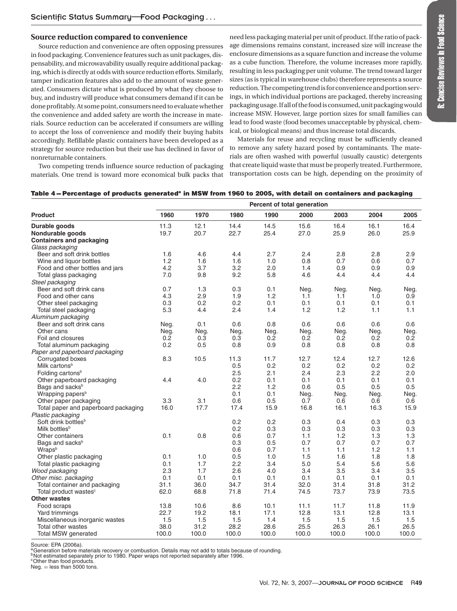# **Source reduction compared to convenience**

Source reduction and convenience are often opposing pressures in food packaging. Convenience features such as unit packages, dispensability, and microwavability usually require additional packaging, which is directly at odds with source reduction efforts. Similarly, tamper indication features also add to the amount of waste generated. Consumers dictate what is produced by what they choose to buy, and industry will produce what consumers demand if it can be done profitably. At some point, consumers need to evaluate whether the convenience and added safety are worth the increase in materials. Source reduction can be accelerated if consumers are willing to accept the loss of convenience and modify their buying habits accordingly. Refillable plastic containers have been developed as a strategy for source reduction but their use has declined in favor of nonreturnable containers.

Two competing trends influence source reduction of packaging materials. One trend is toward more economical bulk packs that

need less packaging material per unit of product. If the ratio of package dimensions remains constant, increased size will increase the enclosure dimensions as a square function and increase the volume as a cube function. Therefore, the volume increases more rapidly, resulting in less packaging per unit volume. The trend toward larger sizes (as is typical in warehouse clubs) therefore represents a source reduction. The competing trend is for convenience and portion servings, in which individual portions are packaged, thereby increasing packaging usage. If all of the food is consumed, unit packaging would increase MSW. However, large portion sizes for small families can lead to food waste (food becomes unacceptable by physical, chemical, or biological means) and thus increase total discards.

Materials for reuse and recycling must be sufficiently cleaned to remove any safety hazard posed by contaminants. The materials are often washed with powerful (usually caustic) detergents that create liquid waste that must be properly treated. Furthermore, transportation costs can be high, depending on the proximity of

| Table 4 – Percentage of products generated <sup>a</sup> in MSW from 1960 to 2005, with detail on containers and packaging |  |  |  |
|---------------------------------------------------------------------------------------------------------------------------|--|--|--|
|---------------------------------------------------------------------------------------------------------------------------|--|--|--|

|                                      |       |       |       |       | Percent of total generation |       |         |       |
|--------------------------------------|-------|-------|-------|-------|-----------------------------|-------|---------|-------|
| <b>Product</b>                       | 1960  | 1970  | 1980  | 1990  | 2000                        | 2003  | 2004    | 2005  |
| Durable goods                        | 11.3  | 12.1  | 14.4  | 14.5  | 15.6                        | 16.4  | 16.1    | 16.4  |
| Nondurable goods                     | 19.7  | 20.7  | 22.7  | 25.4  | 27.0                        | 25.9  | 26.0    | 25.9  |
| <b>Containers and packaging</b>      |       |       |       |       |                             |       |         |       |
| Glass packaging                      |       |       |       |       |                             |       |         |       |
| Beer and soft drink bottles          | 1.6   | 4.6   | 4.4   | 2.7   | 2.4                         | 2.8   | 2.8     | 2.9   |
| Wine and liquor bottles              | 1.2   | 1.6   | 1.6   | 1.0   | 0.8                         | 0.7   | 0.6     | 0.7   |
| Food and other bottles and jars      | 4.2   | 3.7   | 3.2   | 2.0   | 1.4                         | 0.9   | 0.9     | 0.9   |
| Total glass packaging                | 7.0   | 9.8   | 9.2   | 5.8   | 4.6                         | 4.4   | 4.4     | 4.4   |
| Steel packaging                      |       |       |       |       |                             |       |         |       |
| Beer and soft drink cans             | 0.7   | 1.3   | 0.3   | 0.1   | Neg.                        | Neg.  | Neg.    | Neg.  |
| Food and other cans                  | 4.3   | 2.9   | 1.9   | 1.2   | 1.1                         | 1.1   | 1.0     | 0.9   |
| Other steel packaging                | 0.3   | 0.2   | 0.2   | 0.1   | 0.1                         | 0.1   | 0.1     | 0.1   |
| Total steel packaging                | 5.3   | 4.4   | 2.4   | 1.4   | 1.2                         | 1.2   | 1.1     | 1.1   |
| Aluminum packaging                   |       |       |       |       |                             |       |         |       |
| Beer and soft drink cans             | Neg.  | 0.1   | 0.6   | 0.8   | 0.6                         | 0.6   | 0.6     | 0.6   |
| Other cans                           | Neg.  | Neg.  | Neg.  | Neg.  | Neg.                        | Neg.  | Neg.    | Neg.  |
| Foil and closures                    | 0.2   | 0.3   | 0.3   | 0.2   | 0.2                         | 0.2   | 0.2     | 0.2   |
| Total aluminum packaging             | 0.2   | 0.5   | 0.8   | 0.9   | 0.8                         | 0.8   | 0.8     | 0.8   |
| Paper and paperboard packaging       |       |       |       |       |                             |       |         |       |
| Corrugated boxes                     | 8.3   | 10.5  | 11.3  | 11.7  | 12.7                        | 12.4  | 12.7    | 12.6  |
| Milk cartons <sup>b</sup>            |       |       | 0.5   | 0.2   | 0.2                         | 0.2   | 0.2     | 0.2   |
| Folding cartons <sup>b</sup>         |       |       | 2.5   | 2.1   | 2.4                         | 2.3   | $2.2\,$ | 2.0   |
| Other paperboard packaging           | 4.4   | 4.0   | 0.2   | 0.1   | 0.1                         | 0.1   | 0.1     | 0.1   |
| Bags and sacks <sup>b</sup>          |       |       | 2.2   | 1.2   | 0.6                         | 0.5   | 0.5     | 0.5   |
| Wrapping papers <sup>b</sup>         |       |       | 0.1   | 0.1   | Neg.                        | Neg.  | Neg.    | Neg.  |
| Other paper packaging                | 3.3   | 3.1   | 0.6   | 0.5   | 0.7                         | 0.6   | 0.6     | 0.6   |
| Total paper and paperboard packaging | 16.0  | 17.7  | 17.4  | 15.9  | 16.8                        | 16.1  | 16.3    | 15.9  |
| Plastic packaging                    |       |       |       |       |                             |       |         |       |
| Soft drink bottles <sup>b</sup>      |       |       | 0.2   | 0.2   | 0.3                         | 0.4   | 0.3     | 0.3   |
| Milk bottles <sup>b</sup>            |       |       | 0.2   | 0.3   | 0.3                         | 0.3   | 0.3     | 0.3   |
| Other containers                     | 0.1   | 0.8   | 0.6   | 0.7   | 1.1                         | 1.2   | 1.3     | 1.3   |
| Bags and sacks <sup>b</sup>          |       |       | 0.3   | 0.5   | 0.7                         | 0.7   | 0.7     | 0.7   |
| Wrapsb                               |       |       | 0.6   | 0.7   | 1.1                         | 1.1   | 1.2     | 1.1   |
| Other plastic packaging              | 0.1   | 1.0   | 0.5   | 1.0   | 1.5                         | 1.6   | 1.8     | 1.8   |
| Total plastic packaging              | 0.1   | 1.7   | 2.2   | 3.4   | 5.0                         | 5.4   | 5.6     | 5.6   |
| Wood packaging                       | 2.3   | 1.7   | 2.6   | 4.0   | 3.4                         | 3.5   | 3.4     | 3.5   |
| Other misc. packaging                | 0.1   | 0.1   | 0.1   | 0.1   | 0.1                         | 0.1   | 0.1     | 0.1   |
| Total container and packaging        | 31.1  | 36.0  | 34.7  | 31.4  | 32.0                        | 31.4  | 31.8    | 31.2  |
| Total product wastes <sup>c</sup>    | 62.0  | 68.8  | 71.8  | 71.4  | 74.5                        | 73.7  | 73.9    | 73.5  |
| <b>Other wastes</b>                  |       |       |       |       |                             |       |         |       |
| Food scraps                          | 13.8  | 10.6  | 8.6   | 10.1  | 11.1                        | 11.7  | 11.8    | 11.9  |
| Yard trimmings                       | 22.7  | 19.2  | 18.1  | 17.1  | 12.8                        | 13.1  | 12.8    | 13.1  |
| Miscellaneous inorganic wastes       | 1.5   | 1.5   | 1.5   | 1.4   | 1.5                         | 1.5   | 1.5     | 1.5   |
| Total other wastes                   | 38.0  | 31.2  | 28.2  | 28.6  | 25.5                        | 26.3  | 26.1    | 26.5  |
| Total MSW generated                  | 100.0 | 100.0 | 100.0 | 100.0 | 100.0                       | 100.0 | 100.0   | 100.0 |

Source: EPA (2006a).

<sup>a</sup>Generation before materials recovery or combustion. Details may not add to totals because of rounding.<br><sup>b</sup>Not estimated separately prior to 1980. Paper wraps not reported separately after 1996.

<sup>c</sup>Other than food products  $Neg. = less than 5000 tons$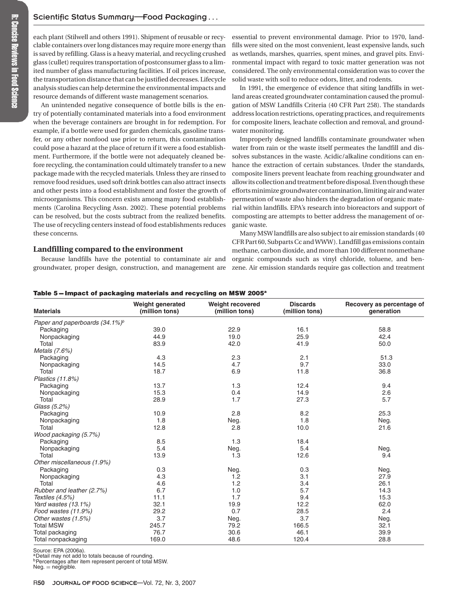each plant (Stilwell and others 1991). Shipment of reusable or recyclable containers over long distances may require more energy than is saved by refilling. Glass is a heavy material, and recycling crushed glass (cullet) requires transportation of postconsumer glass to a limited number of glass manufacturing facilities. If oil prices increase, the transportation distance that can be justified decreases. Lifecycle analysis studies can help determine the environmental impacts and resource demands of different waste management scenarios.

An unintended negative consequence of bottle bills is the entry of potentially contaminated materials into a food environment when the beverage containers are brought in for redemption. For example, if a bottle were used for garden chemicals, gasoline transfer, or any other nonfood use prior to return, this contamination could pose a hazard at the place of return if it were a food establishment. Furthermore, if the bottle were not adequately cleaned before recycling, the contamination could ultimately transfer to a new package made with the recycled materials. Unless they are rinsed to remove food residues, used soft drink bottles can also attract insects and other pests into a food establishment and foster the growth of microorganisms. This concern exists among many food establishments (Carolina Recycling Assn. 2002). These potential problems can be resolved, but the costs subtract from the realized benefits. The use of recycling centers instead of food establishments reduces these concerns.

#### **Landfilling compared to the environment**

Because landfills have the potential to contaminate air and groundwater, proper design, construction, and management are

essential to prevent environmental damage. Prior to 1970, landfills were sited on the most convenient, least expensive lands, such as wetlands, marshes, quarries, spent mines, and gravel pits. Environmental impact with regard to toxic matter generation was not considered. The only environmental consideration was to cover the solid waste with soil to reduce odors, litter, and rodents.

In 1991, the emergence of evidence that siting landfills in wetland areas created groundwater contamination caused the promulgation of MSW Landfills Criteria (40 CFR Part 258). The standards address location restrictions, operating practices, and requirements for composite liners, leachate collection and removal, and groundwater monitoring.

Improperly designed landfills contaminate groundwater when water from rain or the waste itself permeates the landfill and dissolves substances in the waste. Acidic/alkaline conditions can enhance the extraction of certain substances. Under the standards, composite liners prevent leachate from reaching groundwater and allow its collection and treatment before disposal. Even though these efforts minimize groundwater contamination, limiting air and water permeation of waste also hinders the degradation of organic material within landfills. EPA's research into bioreactors and support of composting are attempts to better address the management of organic waste.

Many MSW landfills are also subject to air emission standards (40 CFR Part 60, Subparts Cc and WWW). Landfill gas emissions contain methane, carbon dioxide, and more than 100 different nonmethane organic compounds such as vinyl chloride, toluene, and benzene. Air emission standards require gas collection and treatment

#### **Table 5 - Impact of packaging materials and recycling on MSW 2005<sup>a</sup>**

| <b>Materials</b>                   | Weight generated<br>(million tons) | <b>Weight recovered</b><br>(million tons) | <b>Discards</b><br>(million tons) | Recovery as percentage of<br>generation |
|------------------------------------|------------------------------------|-------------------------------------------|-----------------------------------|-----------------------------------------|
| Paper and paperboards $(34.1\%)^b$ |                                    |                                           |                                   |                                         |
| Packaging                          | 39.0                               | 22.9                                      | 16.1                              | 58.8                                    |
| Nonpackaging                       | 44.9                               | 19.0                                      | 25.9                              | 42.4                                    |
| Total                              | 83.9                               | 42.0                                      | 41.9                              | 50.0                                    |
| Metals (7.6%)                      |                                    |                                           |                                   |                                         |
| Packaging                          | 4.3                                | 2.3                                       | 2.1                               | 51.3                                    |
| Nonpackaging                       | 14.5                               | 4.7                                       | 9.7                               | 33.0                                    |
| Total                              | 18.7                               | 6.9                                       | 11.8                              | 36.8                                    |
| Plastics (11.8%)                   |                                    |                                           |                                   |                                         |
| Packaging                          | 13.7                               | 1.3                                       | 12.4                              | 9.4                                     |
| Nonpackaging                       | 15.3                               | 0.4                                       | 14.9                              | 2.6                                     |
| Total                              | 28.9                               | 1.7                                       | 27.3                              | 5.7                                     |
| Glass (5.2%)                       |                                    |                                           |                                   |                                         |
| Packaging                          | 10.9                               | 2.8                                       | 8.2                               | 25.3                                    |
| Nonpackaging                       | 1.8                                | Neg.                                      | 1.8                               | Neg.                                    |
| Total                              | 12.8                               | 2.8                                       | 10.0                              | 21.6                                    |
| Wood packaging (5.7%)              |                                    |                                           |                                   |                                         |
| Packaging                          | 8.5                                | 1.3                                       | 18.4                              |                                         |
| Nonpackaging                       | 5.4                                | Neg.                                      | 5.4                               | Neg.                                    |
| Total                              | 13.9                               | 1.3                                       | 12.6                              | 9.4                                     |
| Other miscellaneous (1.9%)         |                                    |                                           |                                   |                                         |
| Packaging                          | 0.3                                | Neg.                                      | 0.3                               | Neg.                                    |
| Nonpackaging                       | 4.3                                | 1.2                                       | 3.1                               | 27.9                                    |
| Total                              | 4.6                                | 1.2                                       | 3.4                               | 26.1                                    |
| Rubber and leather (2.7%)          | 6.7                                | 1.0                                       | 5.7                               | 14.3                                    |
| Textiles (4.5%)                    | 11.1                               | 1.7                                       | 9.4                               | 15.3                                    |
| Yard wastes (13.1%)                | 32.1                               | 19.9                                      | 12.2                              | 62.0                                    |
| Food wastes (11.9%)                | 29.2                               | 0.7                                       | 28.5                              | 2.4                                     |
| Other wastes (1.5%)                | 3.7                                | Neg.                                      | 3.7                               | Neg.                                    |
| <b>Total MSW</b>                   | 245.7                              | 79.2                                      | 166.5                             | 32.1                                    |
| Total packaging                    | 76.7                               | 30.6                                      | 46.1                              | 39.9                                    |
| Total nonpackaging                 | 169.0                              | 48.6                                      | 120.4                             | 28.8                                    |

Source: EPA (2006a).

abetail may not add to totals because of rounding.

bPercentages after item represent percent of total MSW.

 $Neg. = negligible.$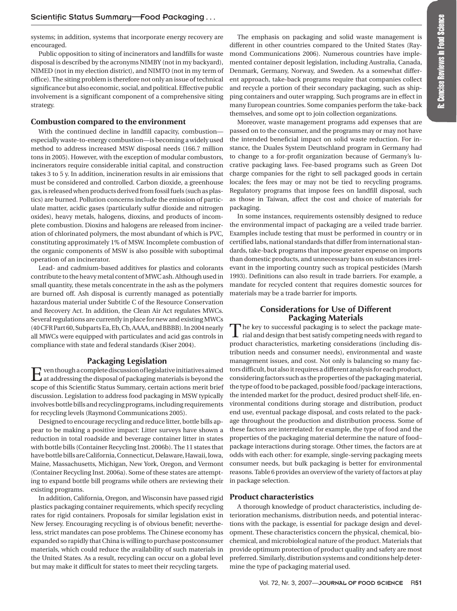systems; in addition, systems that incorporate energy recovery are encouraged.

Public opposition to siting of incinerators and landfills for waste disposal is described by the acronyms NIMBY (not in my backyard), NIMED (not in my election district), and NIMTO (not in my term of office). The siting problem is therefore not only an issue of technical significance but also economic, social, and political. Effective public involvement is a significant component of a comprehensive siting strategy.

## **Combustion compared to the environment**

With the continued decline in landfill capacity, combustion especially waste-to-energy combustion—is becoming a widely used method to address increased MSW disposal needs (166.7 million tons in 2005). However, with the exception of modular combustors, incinerators require considerable initial capital, and construction takes 3 to 5 y. In addition, incineration results in air emissions that must be considered and controlled. Carbon dioxide, a greenhouse gas, is released when products derived from fossil fuels (such as plastics) are burned. Pollution concerns include the emission of particulate matter, acidic gases (particularly sulfur dioxide and nitrogen oxides), heavy metals, halogens, dioxins, and products of incomplete combustion. Dioxins and halogens are released from incineration of chlorinated polymers, the most abundant of which is PVC, constituting approximately 1% of MSW. Incomplete combustion of the organic components of MSW is also possible with suboptimal operation of an incinerator.

Lead- and cadmium-based additives for plastics and colorants contribute to the heavy metal content of MWC ash. Although used in small quantity, these metals concentrate in the ash as the polymers are burned off. Ash disposal is currently managed as potentially hazardous material under Subtitle C of the Resource Conservation and Recovery Act. In addition, the Clean Air Act regulates MWCs. Several regulations are currently in place for new and existing MWCs (40 CFR Part 60, Subparts Ea, Eb, Cb, AAAA, and BBBB). In 2004 nearly all MWCs were equipped with particulates and acid gas controls in compliance with state and federal standards (Kiser 2004).

# **Packaging Legislation**

 $\Gamma$  ven though a complete discussion of legislative initiatives aimed at addressing the disposal of packaging materials is beyond the scope of this Scientific Status Summary, certain actions merit brief discussion. Legislation to address food packaging in MSW typically involves bottle bills and recycling programs, including requirements for recycling levels (Raymond Communications 2005).

Designed to encourage recycling and reduce litter, bottle bills appear to be making a positive impact: Litter surveys have shown a reduction in total roadside and beverage container litter in states with bottle bills (Container Recycling Inst. 2006b). The 11 states that have bottle bills are California, Connecticut, Delaware, Hawaii, Iowa, Maine, Massachusetts, Michigan, New York, Oregon, and Vermont (Container Recycling Inst. 2006a). Some of these states are attempting to expand bottle bill programs while others are reviewing their existing programs.

In addition, California, Oregon, and Wisconsin have passed rigid plastics packaging container requirements, which specify recycling rates for rigid containers. Proposals for similar legislation exist in New Jersey. Encouraging recycling is of obvious benefit; nevertheless, strict mandates can pose problems. The Chinese economy has expanded so rapidly that China is willing to purchase postconsumer materials, which could reduce the availability of such materials in the United States. As a result, recycling can occur on a global level but may make it difficult for states to meet their recycling targets.

The emphasis on packaging and solid waste management is different in other countries compared to the United States (Raymond Communications 2006). Numerous countries have implemented container deposit legislation, including Australia, Canada, Denmark, Germany, Norway, and Sweden. As a somewhat different approach, take-back programs require that companies collect and recycle a portion of their secondary packaging, such as shipping containers and outer wrapping. Such programs are in effect in many European countries. Some companies perform the take-back themselves, and some opt to join collection organizations.

Moreover, waste management programs add expenses that are passed on to the consumer, and the programs may or may not have the intended beneficial impact on solid waste reduction. For instance, the Duales System Deutschland program in Germany had to change to a for-profit organization because of Germany's lucrative packaging laws. Fee-based programs such as Green Dot charge companies for the right to sell packaged goods in certain locales; the fees may or may not be tied to recycling programs. Regulatory programs that impose fees on landfill disposal, such as those in Taiwan, affect the cost and choice of materials for packaging.

In some instances, requirements ostensibly designed to reduce the environmental impact of packaging are a veiled trade barrier. Examples include testing that must be performed in country or in certified labs, national standards that differ from international standards, take-back programs that impose greater expense on imports than domestic products, and unnecessary bans on substances irrelevant in the importing country such as tropical pesticides (Marsh 1993). Definitions can also result in trade barriers. For example, a mandate for recycled content that requires domestic sources for materials may be a trade barrier for imports.

# **Considerations for Use of Different Packaging Materials**

The key to successful packaging is to select the package mate-rial and design that best satisfy competing needs with regard to product characteristics, marketing considerations (including distribution needs and consumer needs), environmental and waste management issues, and cost. Not only is balancing so many factors difficult, but also it requires a different analysis for each product, considering factors such as the properties of the packaging material, the type of food to be packaged, possible food/package interactions, the intended market for the product, desired product shelf-life, environmental conditions during storage and distribution, product end use, eventual package disposal, and costs related to the package throughout the production and distribution process. Some of these factors are interrelated: for example, the type of food and the properties of the packaging material determine the nature of food– package interactions during storage. Other times, the factors are at odds with each other: for example, single-serving packaging meets consumer needs, but bulk packaging is better for environmental reasons. Table 6 provides an overview of the variety of factors at play in package selection.

# **Product characteristics**

A thorough knowledge of product characteristics, including deterioration mechanisms, distribution needs, and potential interactions with the package, is essential for package design and development. These characteristics concern the physical, chemical, biochemical, and microbiological nature of the product. Materials that provide optimum protection of product quality and safety are most preferred. Similarly, distribution systems and conditions help determine the type of packaging material used.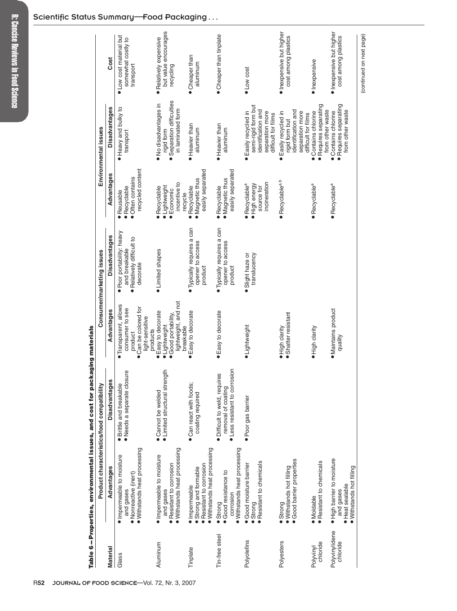| and can use it. |  |
|-----------------|--|
|                 |  |
|                 |  |
| i<br>did        |  |
| ֚<br>l<br>֚֚֬   |  |
|                 |  |
|                 |  |
|                 |  |

|                            | Table 6 – Properties, environmental issues, and cost for packaging materials                       |                                                                                          |                                                                                                            |                                                                                   |                                                                        |                                                                                                          |                                                                 |
|----------------------------|----------------------------------------------------------------------------------------------------|------------------------------------------------------------------------------------------|------------------------------------------------------------------------------------------------------------|-----------------------------------------------------------------------------------|------------------------------------------------------------------------|----------------------------------------------------------------------------------------------------------|-----------------------------------------------------------------|
|                            |                                                                                                    | Product characteristics/food compatibility                                               |                                                                                                            | Consumer/marketing issues                                                         |                                                                        | Environmental issues                                                                                     |                                                                 |
| Material                   | Advantages                                                                                         | Disadvantages                                                                            | Advantages                                                                                                 | Disadvantages                                                                     | Advantages                                                             | Disadvantages                                                                                            | Cost                                                            |
| Glass                      | · Withstands heat processing<br>Impermeable to moisture<br>• Nonreactive (inert)<br>and gases      | · Needs a separate closure<br>· Brittle and breakable                                    | · Transparent, allows<br>• Can be colored for<br>consumer to see<br>light-sensitive<br>products<br>product | Poor portability: heavy<br>· Relatively difficult to<br>and breakable<br>decorate | recycled content<br>· Often contains<br>Recyclable<br>Reusable         | · Heavy and bulky to<br>transport                                                                        | <b>Low cost material but</b><br>somewhat costly to<br>transport |
| Aluminum                   | · Withstands heat processing<br>· Impermeable to moisture<br>· Resistant to corrosion<br>and gases | ● Cannot be welded<br>● Limited structural strength                                      | lightweight, and not<br>Easy to decorate<br>Good portability,<br>Lightweight<br>breakable                  | • Limited shapes                                                                  | incentive to<br>• Lightweight<br>• Economic<br>Recyclable<br>recycle   | · Separation difficulties<br>· No disadvantages in<br>in laminated form<br>rigid form                    | but value encourages<br>· Relatively expensive<br>recycling     |
| Tinplate                   | Withstands heat processing<br>Resistant to corrosion<br>Strong and formable<br>Impermeable         | · Can react with foods;<br>coating required                                              | Easy to decorate                                                                                           | • Typically requires a can<br>opener to access<br>product                         | easily separated<br>· Magnetic thus<br>· Recyclable                    | • Heavier than<br>aluminum                                                                               | • Cheaper than<br>aluminum                                      |
| Tin-free steel             | · Withstands heat processing<br>■ Strong<br>● Good resistance to<br>corrosion                      | · Less resistant to corrosion<br>es<br>· Difficult to weld, requir<br>removal of coating | <b>Easy to decorate</b>                                                                                    | • Typically requires a can<br>opener to access<br>product                         | easily separated<br>· Magnetic thus<br>· Recyclable                    | • Heavier than<br>aluminum                                                                               | • Cheaper than tinplate                                         |
| Polyolefins                | · Resistant to chemicals<br>Good moisture barrier<br>Strong                                        | · Poor gas barrier                                                                       | · Lightweight                                                                                              | · Slight haze or<br>translucency                                                  | incineration<br>• High energy<br>Recyclable <sup>a</sup><br>source for | semi-rigid form but<br>dentification and<br>Easily recycled in<br>separation more<br>difficult for films | • Low cost                                                      |
| Polyesters                 | · Good barrier properties<br>· Withstands hot filling<br>· Strong                                  |                                                                                          | Shatter resistant<br>· High clarity                                                                        |                                                                                   | · Recyclablea.b                                                        | identification and<br>separation more<br>Easily recycled in<br>difficult for films<br>rigid form but     | Inexpensive but higher<br>cost among plastics                   |
| chloride<br>Polyvinyl      | Resistant to chemicals<br>· Moldable<br>$\bullet$                                                  |                                                                                          | • High clarity                                                                                             |                                                                                   | $\bullet$ Recyclable <sup>a</sup>                                      | Requires separating<br>from other waste<br>Contains chlorine                                             | · Inexpensive                                                   |
| Polyvinylidene<br>chloride | · High barrier to moisture<br>· Withstands hot filling<br>· Heat sealable<br>and gases             |                                                                                          | · Maintains product<br>quality                                                                             |                                                                                   | · Recyclable <sup>a</sup>                                              | Requires separating<br>from other waste<br>Contains chlorine                                             | Inexpensive but higher<br>cost among plastics                   |

(continued on next page)

(continued on next page)

# Scientific Status Summary—Food Packaging . . .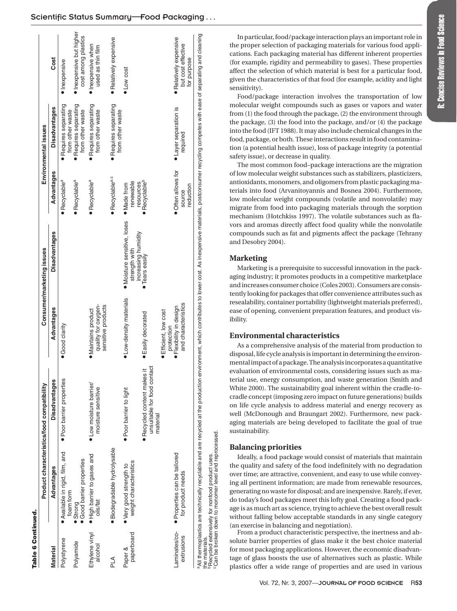|                           |                                                                                                        | Product characteristics/food compatibility                                                                                                                                                                                     |                                                                  | Consumer/marketing issues                    |                                             | Environmental issues                      |                                                 |
|---------------------------|--------------------------------------------------------------------------------------------------------|--------------------------------------------------------------------------------------------------------------------------------------------------------------------------------------------------------------------------------|------------------------------------------------------------------|----------------------------------------------|---------------------------------------------|-------------------------------------------|-------------------------------------------------|
| <b>Material</b>           | Advantages                                                                                             | <b>Disadvantages</b>                                                                                                                                                                                                           | Advantages                                                       | <b>Disadvantages</b>                         | Advantages                                  | <b>Disadvantages</b>                      | Cost                                            |
| Polystyrene               | · Available in rigid, film, and<br>foam form                                                           | ဖ<br>· Poor barrier propertie                                                                                                                                                                                                  | Good clarity                                                     |                                              | $\bullet$ Recyclable <sup>a</sup>           | · Requires separating<br>from other waste | · Inexpensive                                   |
| Polyamide                 | Strong<br>Good barrier properties                                                                      |                                                                                                                                                                                                                                |                                                                  |                                              | · Recyclable <sup>a</sup>                   | · Requires separating<br>from other waste | · Inexpensive but higher<br>cost among plastics |
| Ethylene vinyl<br>alcohol | • High barrier to gases and<br>oils/fat                                                                | • Low moisture barrier/<br>moisture sensitive                                                                                                                                                                                  | quality for oxygen-<br>sensitive products<br>· Maintains product |                                              | $\bullet$ Recyclable <sup>a</sup>           | · Requires separating<br>from other waste | · Inexpensive when<br>used as thin film         |
| PLA                       | · Biodegradable hydrolysable                                                                           |                                                                                                                                                                                                                                |                                                                  |                                              | Recyclablea.c                               | · Requires separating<br>from other waste | · Relatively expensive                          |
| paperboard<br>Paper &     | weight characteristics<br>• Very good strength to                                                      | · Poor barrier to light                                                                                                                                                                                                        | • Low-density materials                                          | · Moisture sensitive, loses<br>strength with | renewable<br>· Made from                    |                                           | • Low cost                                      |
|                           |                                                                                                        | unsuitable for food contact<br>· Recycled content makes it<br>material                                                                                                                                                         | · Easily decorated                                               | increasing humidity<br>Tears easily          | <b>Recyclable</b> <sup>b</sup><br>resources |                                           |                                                 |
|                           |                                                                                                        |                                                                                                                                                                                                                                | · Efficient, low cost                                            |                                              |                                             |                                           |                                                 |
| Laminates/co-             | · Properties can be tailored                                                                           |                                                                                                                                                                                                                                | protection<br>● Flexibility in design                            |                                              | • Often allows for                          | • Layer separation is                     | · Relatively expensive                          |
| extrusions                | for product needs                                                                                      |                                                                                                                                                                                                                                | and characteristics                                              |                                              | reduction<br>source                         | required                                  | but cost effective<br>for purpose               |
| the materials.            | Recycled extensively for nonfood product uses.<br>Can be broken down to monomer level and reprocessed. | PAII thermoplastics are technically recycled and are recycled are recycled at the production environment, which contributes to lower cost. As inexpensive materials, postconsumer recycling competes with ease of separating a |                                                                  |                                              |                                             |                                           |                                                 |
|                           |                                                                                                        |                                                                                                                                                                                                                                |                                                                  |                                              |                                             |                                           |                                                 |

In particular, food/package interaction plays an important role in the proper selection of packaging materials for various food applications. Each packaging material has different inherent properties (for example, rigidity and permeability to gases). These properties affect the selection of which material is best for a particular food, given the characteristics of that food (for example, acidity and light sensitivity).

Food/package interaction involves the transportation of low molecular weight compounds such as gases or vapors and water from (1) the food through the package, (2) the environment through the package, (3) the food into the package, and/or (4) the package into the food (IFT 1988). It may also include chemical changes in the food, package, or both. These interactions result in food contamination (a potential health issue), loss of package integrity (a potential safety issue), or decrease in quality.

The most common food–package interactions are the migration of low molecular weight substances such as stabilizers, plasticizers, antioxidants, monomers, and oligomers from plastic packaging materials into food (Arvanitoyannis and Bosnea 2004). Furthermore, low molecular weight compounds (volatile and nonvolatile) may migrate from food into packaging materials through the sorption mechanism (Hotchkiss 1997). The volatile substances such as flavors and aromas directly affect food quality while the nonvolatile compounds such as fat and pigments affect the package (Tehrany and Desobry 2004).

# **Marketing**

Marketing is a prerequisite to successful innovation in the packaging industry; it promotes products in a competitive marketplace and increases consumer choice (Coles 2003). Consumers are consistently looking for packages that offer convenience attributes such as resealability, container portability (lightweight materials preferred), ease of opening, convenient preparation features, and product visibility.

# **Environmental characteristics**

As a comprehensive analysis of the material from production to disposal, life cycle analysis is important in determining the environmental impact of a package. The analysis incorporates a quantitative evaluation of environmental costs, considering issues such as material use, energy consumption, and waste generation (Smith and White 2000). The sustainability goal inherent within the cradle-tocradle concept (imposing zero impact on future generations) builds on life cycle analysis to address material and energy recovery as well (McDonough and Braungart 2002). Furthermore, new packaging materials are being developed to facilitate the goal of true sustainability.

# **Balancing priorities**

Ideally, a food package would consist of materials that maintain the quality and safety of the food indefinitely with no degradation over time; are attractive, convenient, and easy to use while conveying all pertinent information; are made from renewable resources, generating no waste for disposal; and are inexpensive. Rarely, if ever, do today's food packages meet this lofty goal. Creating a food package is as much art as science, trying to achieve the best overall result without falling below acceptable standards in any single category (an exercise in balancing and negotiation).

From a product characteristic perspective, the inertness and absolute barrier properties of glass make it the best choice material for most packaging applications. However, the economic disadvantage of glass boosts the use of alternatives such as plastic. While plastics offer a wide range of properties and are used in various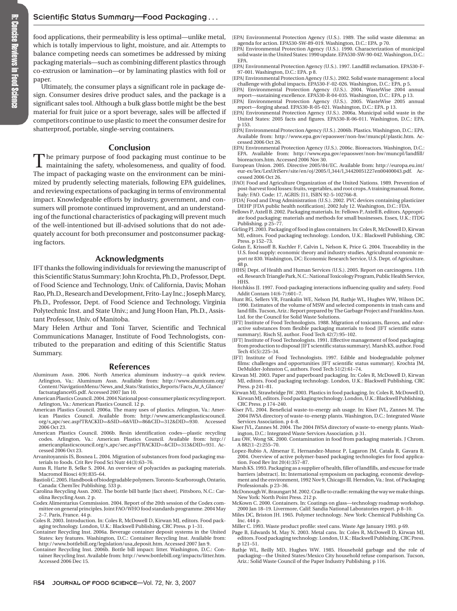food applications, their permeability is less optimal—unlike metal, which is totally impervious to light, moisture, and air. Attempts to balance competing needs can sometimes be addressed by mixing packaging materials—such as combining different plastics through co-extrusion or lamination—or by laminating plastics with foil or paper.

Ultimately, the consumer plays a significant role in package design. Consumer desires drive product sales, and the package is a significant sales tool. Although a bulk glass bottle might be the best material for fruit juice or a sport beverage, sales will be affected if competitors continue to use plastic to meet the consumer desire for shatterproof, portable, single-serving containers.

#### **Conclusion**

The primary purpose of food packaging must continue to be maintaining the safety, wholesomeness, and quality of food. The impact of packaging waste on the environment can be minimized by prudently selecting materials, following EPA guidelines, and reviewing expectations of packaging in terms of environmental impact. Knowledgeable efforts by industry, government, and consumers will promote continued improvement, and an understanding of the functional characteristics of packaging will prevent much of the well-intentioned but ill-advised solutions that do not adequately account for both preconsumer and postconsumer packaging factors.

#### **Acknowledgments**

IFT thanks the following individuals for reviewing the manuscript of this Scientific Status Summary: John Krochta, Ph.D., Professor, Dept. of Food Science and Technology, Univ. of California, Davis; Mohan Rao, Ph.D., Research and Development, Frito-Lay Inc.; Joseph Marcy, Ph.D., Professor, Dept. of Food Science and Technology, Virginia Polytechnic Inst. and State Univ.; and Jung Hoon Han, Ph.D., Assistant Professor, Univ. of Manitoba.

Mary Helen Arthur and Toni Tarver, Scientific and Technical Communications Manager, Institute of Food Technologists, contributed to the preparation and editing of this Scientific Status Summary.

#### **References**

- Aluminum Assn. 2006. North America aluminum industry—a quick review. Arlington, Va.: Aluminum Assn. Available from: http://www.aluminum.org/ Content/NavigationMenu/News and Stats/Statistics Reports/Facts At A Glance/ factsataglance05.pdf. Accessed 2007 Jan 10.
- American Plastics Council. 2004. 2004 National post-consumer plastic recycling report. Arlington, Va.: American Plastics Council. 12 p.
- American Plastics Council. 2006a. The many uses of plastics. Arlington, Va.: American Plastics Council. Available from: http://www.americanplasticscouncil. org/s apc/sec.asp?TRACKID=&SID=6&VID=86&CID=312&DID=930. Accessed 2006 Oct 23.
- American Plastics Council. 2006b. Resin identification codes—plastic recycling codes. Arlington, Va.: American Plastics Council. Available from: http:// americanplasticscouncil.org/s apc/sec.asp?TRACKID=&CID=313&DID=931. Accessed 2006 Oct 23.
- Arvanitoyannis IS, Bosnea L. 2004. Migration of substances from food packaging materials to foods. Crit Rev Food Sci Nutr 44(3):63–76.
- Auras R, Harte B, Selke S. 2004. An overview of polyactides as packaging materials. Macromol Biosci 4(9):835–64.
- Bastioli C. 2005. Handbook of biodegradable polymers. Toronto-Scarborough, Ontario, Canada: ChemTec Publishing. 533 p.
- Carolina Recycling Assn. 2002. The bottle bill battle [fact sheet]. Pittsboro, N.C.: Carolina Recycling Assn. 2 p.
- Codex Alimentarius Commission. 2004. Report of the 20th session of the Codex committee on general principles. Joint FAO/WHO food standards programme. 2004 May 2–7. Paris, France. 44 p.
- Coles R. 2003. Introduction. In: Coles R, McDowell D, Kirwan MJ, editors. Food packaging technology. London, U.K.: Blackwell Publishing, CRC Press. p 1–31.
- Container Recycling Inst. 2006a. Beverage container deposit systems in the United States: key features. Washington, D.C.: Container Recycling Inst. Available from: http://www.bottlebill.org/legislation/usa deposit.htm. Accessed 2007 Jan 9.
- Container Recycling Inst. 2006b. Bottle bill impact: litter. Washington, D.C.: Container Recycling Inst. Available from: http://www.bottlebill.org/impacts/litter.htm. Accessed 2006 Dec 15.
- [EPA] Environmental Protection Agency (U.S.). 1989. The solid waste dilemma: an agenda for action. EPA530-SW-89-019. Washington, D.C.: EPA. p 70.
- [EPA] Environmental Protection Agency (U.S.). 1990. Characterization of municipal solid waste in the United States: 1990 update. EPA530-SW-90-042. Washington, D.C.: **EPA**
- [EPA] Environmental Protection Agency (U.S.). 1997. Landfill reclamation. EPA530-F-97-001. Washington, D.C.: EPA. p 8.
- [EPA] Environmental Protection Agency (U.S.). 2002. Solid waste management: a local challenge with global impacts. EPA530-F-02-026. Washington, D.C.: EPA. p 5. [EPA] Environmental Protection Agency (U.S.). 2004. WasteWise 2004 annual
- report—sustaining excellence. EPA530-R-04-035. Washington, D.C.: EPA. p 13.
- [EPA] Environmental Protection Agency (U.S.). 2005. WasteWise 2005 annual report—forging ahead. EPA530-R-05-021. Washington, D.C.: EPA. p 13.
- [EPA] Environmental Protection Agency (U.S.). 2006a. Municipal solid waste in the United States: 2005 facts and figures. EPA530-R-06-011. Washington, D.C.: EPA. p 153.
- [EPA] Environmental Protection Agency (U.S.). 2006b. Plastics. Washington, D.C.: EPA. Available from: http://www.epa.gov/epaoswer/non-hw/muncpl/plastic.htm. Accessed 2006 Oct 26.
- [EPA] Environmental Protection Agency (U.S.). 2006c. Bioreactors. Washington, D.C.: EPA. Available from: http://www.epa.gov/epaoswer/non-hw/muncpl/landfill/ bioreactors.htm. Accessed 2006 Nov 30.
- European Union. 2005. Directive 2005/84/EC. Available from: http://europa.eu.int/ eur-ex/lex/LexUriServ/site/en/oj/2005/l 344/l 34420051227en00400043.pdf. Accessed 2006 Oct 26.
- [FAO] Food and Agriculture Organization of the United Nations. 1989. Prevention of post-harvest food losses: fruits, vegetables, and root crops. A training manual. Rome, Italy: FAO. Code: 17, AGRIS: J11, ISBN 92-5-102766-8.
- [FDA] Food and Drug Administration (U.S.). 2002. PVC devices containing plasticizer DEHP [FDA public health notification]. 2002 July 12. Washington, D.C.: FDA.
- Fellows P, Axtell B. 2002. Packaging materials. In: Fellows P, Axtell B, editors. Appropriate food packaging: materials and methods for small businesses. Essex, U.K.: ITDG Publishing. p 25-77
- Girling PJ. 2003. Packaging of food in glass containers. In: Coles R, McDowell D, Kirwan MJ, editors. Food packaging technology. London, U.K.: Blackwell Publishing, CRC Press. p 152–73.
- Golan E, Krissoff B, Kuchler F, Calvin L, Nelson K, Price G. 2004. Traceability in the U.S. food supply: economic theory and industry studies. Agricultural economic report nr 830. Washington, DC: Economic Research Service, U.S. Dept. of Agriculture. 48 p.
- [HHS] Dept. of Health and Human Services (U.S.). 2005. Report on carcinogens. 11th ed. Research Triangle Park, N.C.: National Toxicology Program, Public Health Service, **HHS**
- Hotchkiss JJ. 1997. Food-packaging interactions influencing quality and safety. Food Addit Contam 14(6-7):601–7.
- Hunt RG, Sellers VR, Frankalin WE, Nelson JM, Rathje WL, Hughes WW, Wilson DC. 1990. Estimates of the volume of MSW and selected components in trash cans and land fills. Tucson, Ariz.: Report prepared by The Garbage Project and Franklins Assn. Ltd. for the Council for Solid Waste Solutions.
- [IFT] Institute of Food Technologists. 1988. Migration of toxicants, flavors, and odoractive substances from flexible packaging materials to food [IFT scientific status summary]. Risch SJ, author. Food Tech 42(7):95–102.
- [IFT] Institute of Food Technologists. 1991. Effective management of food packaging: from production to disposal [IFT scientific status summary]. Marsh KS, author. Food Tech 45(5):225–34.
- [IFT] Institute of Food Technologists. 1997. Edible and biodegradable polymer films: challenges and opportunities [IFT scientific status summary]. Krochta JM, DeMulder-Johnston C, authors. Food Tech 51(2):61–74.
- Kirwan MJ. 2003. Paper and paperboard packaging. In: Coles R, McDowell D, Kirwan MJ, editors. Food packaging technology. London, U.K.: Blackwell Publishing, CRC Press. p 241–81.
- Kirwan MJ, Strawbridge JW. 2003. Plastics in food packaging. In: Coles R, McDowell D, Kirwan MJ, editors. Food packaging technology. London, U.K.: Blackwell Publishing, CRC Press. p 174–240.
- Kiser JVL. 2004. Beneficial waste-to-energy ash usage. In: Kiser JVL, Zannes M. The 2004 IWSA directory of waste-to-energy plants. Washington, D.C.: Integrated Waste Services Association. p 4–8.
- Kiser JVL, Zannes M. 2004. The 2004 IWSA directory of waste-to-energy plants. Washington, D.C.: Integrated Waste Services Association. p 31.
- Lau OW, Wong SK. 2000. Contamination in food from packaging materials. J Chrom. A 882(1–2):255–70.
- Lopez-Rubio A, Almenar E, Hernandez-Munoz P, Lagaron JM, Catala R, Gavara R. 2004. Overview of active polymer-based packaging technologies for food application. Food Rev Int 20(4):357–87.
- Marsh KS. 1993. Packaging as a supplier of health, filler of landfills, and excuse for trade barriers [abstract]. In: International symposium on packaging, economic development and the environment, 1992 Nov 9, Chicago Ill. Herndon, Va.: Inst. of Packaging Professionals. p 23–36.
- McDonough W, Braungart M. 2002. Cradle to cradle: remaking the way we make things. New York: North Point Press. 212 p.
- McKown C. 2000. Containers. In: Coatings on glass—technology roadmap workshop. 2000 Jan 18–19. Livermore, Calif: Sandia National Laboratories report. p 8–10.
- Miles DC, Briston JH. 1965. Polymer technology. New York: Chemical Publishing Co. Inc. 444 p.
- Miller C. 1993. Waste product profile: steel cans. Waste Age January 1993. p 69.
- Page B, Edwards M, May N. 2003. Metal cans. In: Coles R, McDowell D, Kirwan MJ, editors. Food packaging technology. London, U.K.: Blackwell Publishing, CRC Press. p 121–51.
- Rathje WL, Reilly MD, Hughes WW. 1985. Household garbage and the role of packaging—the United States/Mexico City household refuse comparison. Tucson, Ariz.: Solid Waste Council of the Paper Industry Publishing. p 116.